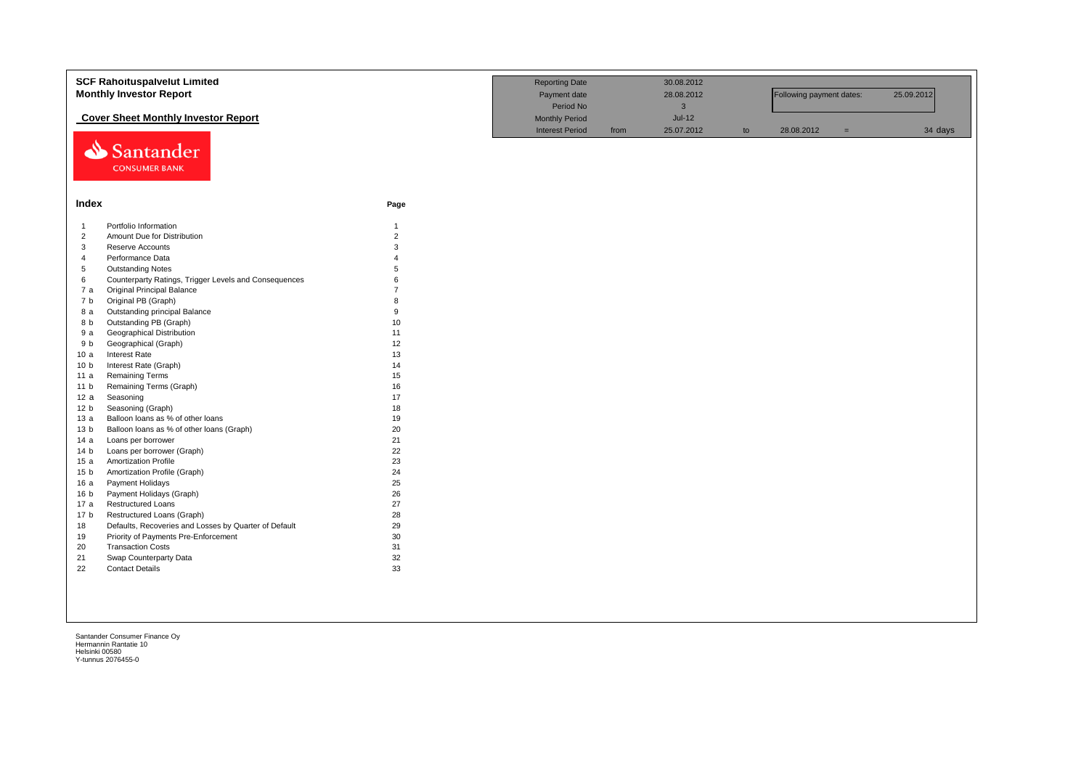|                 | <b>SCF Rahoituspalvelut Limited</b>                   |              | <b>Reporting Date</b>  |      | 30.08.2012   |    |                          |     |            |
|-----------------|-------------------------------------------------------|--------------|------------------------|------|--------------|----|--------------------------|-----|------------|
|                 | <b>Monthly Investor Report</b>                        |              | Payment date           |      | 28.08.2012   |    | Following payment dates: |     | 25.09.2012 |
|                 |                                                       |              | Period No              |      | $\mathbf{3}$ |    |                          |     |            |
|                 | <b>Cover Sheet Monthly Investor Report</b>            |              | <b>Monthly Period</b>  |      | $Jul-12$     |    |                          |     |            |
|                 |                                                       |              | <b>Interest Period</b> | from | 25.07.2012   | to | 28.08.2012               | $=$ | 34 days    |
|                 |                                                       |              |                        |      |              |    |                          |     |            |
|                 | Santander                                             |              |                        |      |              |    |                          |     |            |
|                 | <b>CONSUMER BANK</b>                                  |              |                        |      |              |    |                          |     |            |
|                 |                                                       |              |                        |      |              |    |                          |     |            |
|                 |                                                       |              |                        |      |              |    |                          |     |            |
|                 |                                                       |              |                        |      |              |    |                          |     |            |
| Index           |                                                       | Page         |                        |      |              |    |                          |     |            |
| $\overline{1}$  | Portfolio Information                                 | -1           |                        |      |              |    |                          |     |            |
| $\overline{2}$  | Amount Due for Distribution                           | 2            |                        |      |              |    |                          |     |            |
| 3               | <b>Reserve Accounts</b>                               | 3            |                        |      |              |    |                          |     |            |
| $\overline{4}$  | Performance Data                                      |              |                        |      |              |    |                          |     |            |
| 5               | <b>Outstanding Notes</b>                              | 5            |                        |      |              |    |                          |     |            |
| 6               | Counterparty Ratings, Trigger Levels and Consequences | 6            |                        |      |              |    |                          |     |            |
| 7a              | <b>Original Principal Balance</b>                     |              |                        |      |              |    |                          |     |            |
| 7 b             | Original PB (Graph)                                   | $\mathsf{R}$ |                        |      |              |    |                          |     |            |
| 8 a             | Outstanding principal Balance                         | 9            |                        |      |              |    |                          |     |            |
| 8 b             | Outstanding PB (Graph)                                | 10           |                        |      |              |    |                          |     |            |
| 9a              | <b>Geographical Distribution</b>                      | 11           |                        |      |              |    |                          |     |            |
| 9 b             | Geographical (Graph)                                  | 12           |                        |      |              |    |                          |     |            |
| 10a             | Interest Rate                                         | 13           |                        |      |              |    |                          |     |            |
| 10 <sub>b</sub> | Interest Rate (Graph)                                 | 14           |                        |      |              |    |                          |     |            |
| 11a             | <b>Remaining Terms</b>                                | 15           |                        |      |              |    |                          |     |            |
| 11 <sub>b</sub> | Remaining Terms (Graph)                               | 16           |                        |      |              |    |                          |     |            |
| 12a             | Seasoning                                             | 17           |                        |      |              |    |                          |     |            |
| 12 <sub>b</sub> | Seasoning (Graph)                                     | 18           |                        |      |              |    |                          |     |            |
| 13a             | Balloon loans as % of other loans                     | 19           |                        |      |              |    |                          |     |            |
| 13 <sub>b</sub> | Balloon loans as % of other loans (Graph)             | 20           |                        |      |              |    |                          |     |            |
| 14a             | Loans per borrower                                    | 21           |                        |      |              |    |                          |     |            |
| 14 b            | Loans per borrower (Graph)                            | 22           |                        |      |              |    |                          |     |            |
| 15a             | <b>Amortization Profile</b>                           | 23           |                        |      |              |    |                          |     |            |
| 15 <sub>b</sub> | Amortization Profile (Graph)                          | 24           |                        |      |              |    |                          |     |            |
| 16a             | Payment Holidays                                      | 25           |                        |      |              |    |                          |     |            |
| 16 <sub>b</sub> | Payment Holidays (Graph)                              | 26           |                        |      |              |    |                          |     |            |
| 17 a            | <b>Restructured Loans</b>                             | 27           |                        |      |              |    |                          |     |            |
| 17 <sub>b</sub> | Restructured Loans (Graph)                            | 28           |                        |      |              |    |                          |     |            |
| 18              | Defaults, Recoveries and Losses by Quarter of Default | 29           |                        |      |              |    |                          |     |            |
| 19              | Priority of Payments Pre-Enforcement                  | 30           |                        |      |              |    |                          |     |            |
| 20              | <b>Transaction Costs</b>                              | 31           |                        |      |              |    |                          |     |            |
| 21              | Swap Counterparty Data                                | 32           |                        |      |              |    |                          |     |            |
| 22              | <b>Contact Details</b>                                | 33           |                        |      |              |    |                          |     |            |
|                 |                                                       |              |                        |      |              |    |                          |     |            |
|                 |                                                       |              |                        |      |              |    |                          |     |            |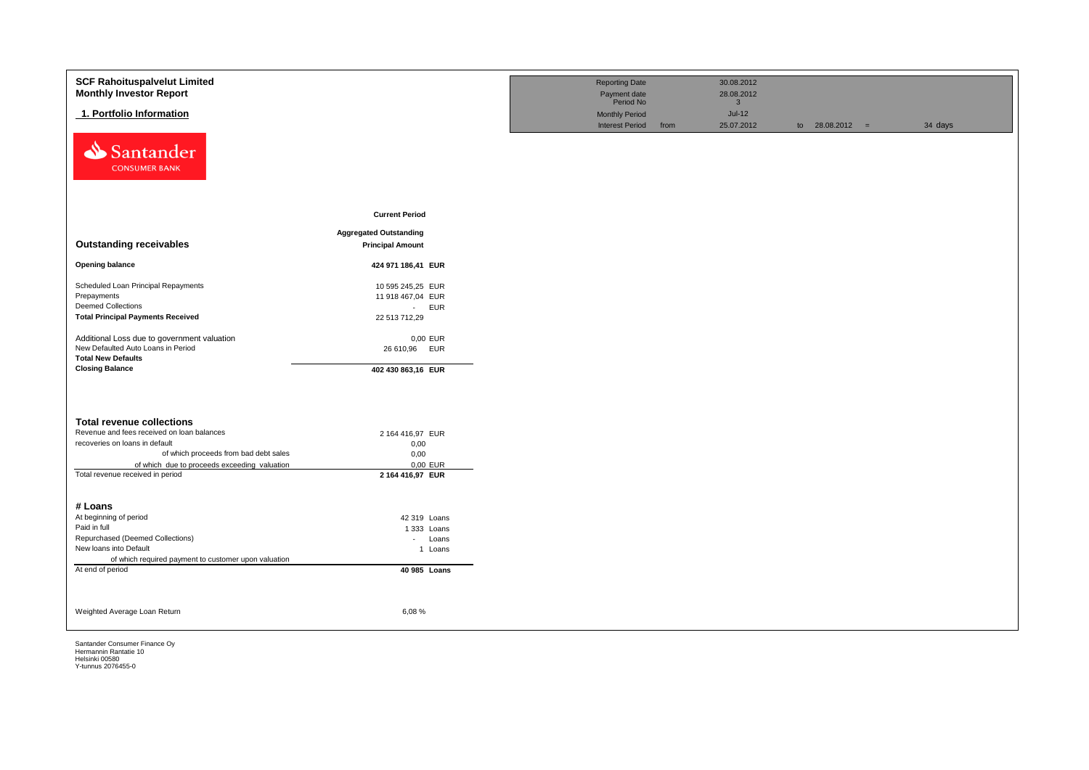| <b>SCF Rahoituspalvelut Limited</b><br><b>Monthly Investor Report</b>            |                               | <b>Reporting Date</b><br>Payment date                        | 30.08.2012<br>28.08.2012                       |                   |         |
|----------------------------------------------------------------------------------|-------------------------------|--------------------------------------------------------------|------------------------------------------------|-------------------|---------|
| 1. Portfolio Information                                                         |                               | Period No<br><b>Monthly Period</b><br><b>Interest Period</b> | $\mathbf{3}$<br>$Jul-12$<br>from<br>25.07.2012 | to $28.08.2012 =$ | 34 days |
| Santander<br><b>CONSUMER BANK</b>                                                |                               |                                                              |                                                |                   |         |
|                                                                                  | <b>Current Period</b>         |                                                              |                                                |                   |         |
|                                                                                  | <b>Aggregated Outstanding</b> |                                                              |                                                |                   |         |
| <b>Outstanding receivables</b>                                                   | <b>Principal Amount</b>       |                                                              |                                                |                   |         |
| <b>Opening balance</b>                                                           | 424 971 186,41 EUR            |                                                              |                                                |                   |         |
| Scheduled Loan Principal Repayments                                              | 10 595 245,25 EUR             |                                                              |                                                |                   |         |
| Prepayments                                                                      | 11 918 467,04 EUR             |                                                              |                                                |                   |         |
| <b>Deemed Collections</b>                                                        | - EUR                         |                                                              |                                                |                   |         |
| <b>Total Principal Payments Received</b>                                         | 22 513 712,29                 |                                                              |                                                |                   |         |
| Additional Loss due to government valuation                                      | 0,00 EUR                      |                                                              |                                                |                   |         |
| New Defaulted Auto Loans in Period                                               | 26 610,96 EUR                 |                                                              |                                                |                   |         |
| <b>Total New Defaults</b>                                                        |                               |                                                              |                                                |                   |         |
| <b>Closing Balance</b>                                                           | 402 430 863,16 EUR            |                                                              |                                                |                   |         |
|                                                                                  |                               |                                                              |                                                |                   |         |
| <b>Total revenue collections</b>                                                 |                               |                                                              |                                                |                   |         |
| Revenue and fees received on loan balances                                       | 2 164 416,97 EUR              |                                                              |                                                |                   |         |
| recoveries on loans in default                                                   | 0,00                          |                                                              |                                                |                   |         |
| of which proceeds from bad debt sales                                            | 0,00                          |                                                              |                                                |                   |         |
| of which due to proceeds exceeding valuation<br>Total revenue received in period | 0,00 EUR<br>2 164 416,97 EUR  |                                                              |                                                |                   |         |
|                                                                                  |                               |                                                              |                                                |                   |         |
| # Loans                                                                          |                               |                                                              |                                                |                   |         |
| At beginning of period                                                           | 42 319 Loans                  |                                                              |                                                |                   |         |
| Paid in full                                                                     | 1 333 Loans                   |                                                              |                                                |                   |         |
| Repurchased (Deemed Collections)                                                 | Loans<br>$\sim$ 100 $\mu$     |                                                              |                                                |                   |         |
| New loans into Default                                                           | 1 Loans                       |                                                              |                                                |                   |         |
| of which required payment to customer upon valuation                             |                               |                                                              |                                                |                   |         |
| At end of period                                                                 | 40 985 Loans                  |                                                              |                                                |                   |         |
| Weighted Average Loan Return                                                     | 6,08%                         |                                                              |                                                |                   |         |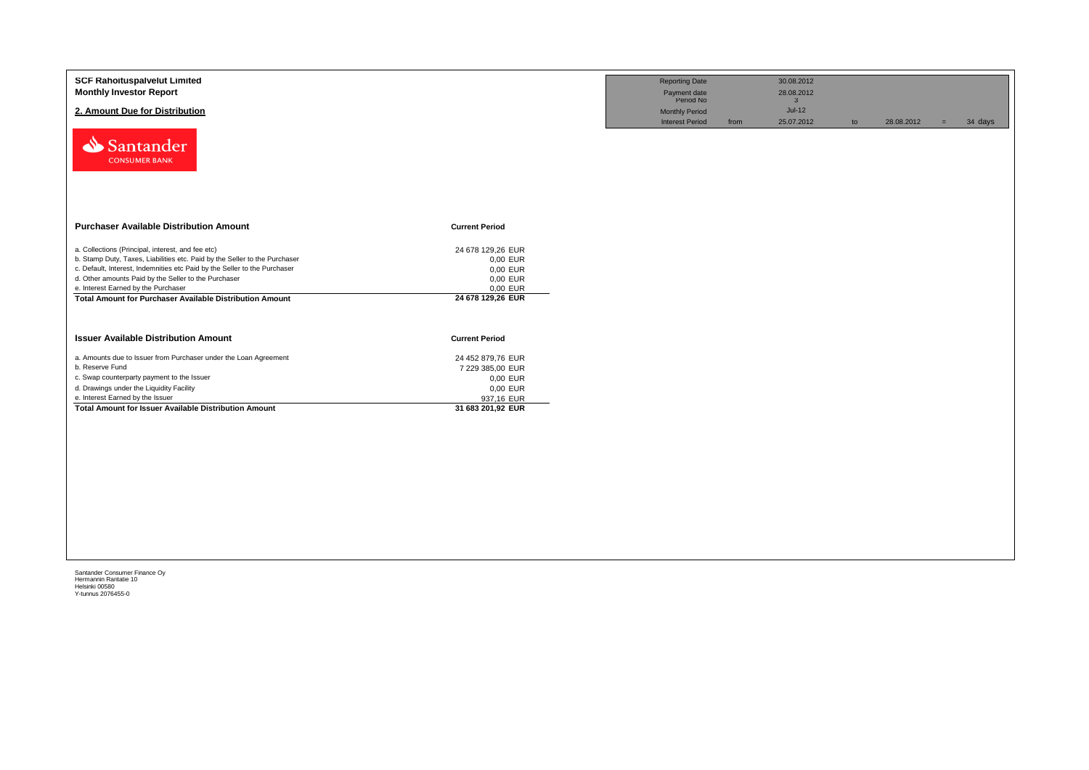| <b>SCF Rahoituspalvelut Limited</b><br><b>Monthly Investor Report</b><br>2. Amount Due for Distribution                                                                                                                                                                                                     |                                                                                                  | <b>Reporting Date</b><br>Payment date<br>Period No<br><b>Monthly Period</b><br><b>Interest Period</b> | from | 30.08.2012<br>28.08.2012<br>$\mathbf{3}$<br>$Jul-12$<br>25.07.2012 | to | 28.08.2012 | $=$ | 34 days |
|-------------------------------------------------------------------------------------------------------------------------------------------------------------------------------------------------------------------------------------------------------------------------------------------------------------|--------------------------------------------------------------------------------------------------|-------------------------------------------------------------------------------------------------------|------|--------------------------------------------------------------------|----|------------|-----|---------|
| Santander<br><b>CONSUMER BANK</b>                                                                                                                                                                                                                                                                           |                                                                                                  |                                                                                                       |      |                                                                    |    |            |     |         |
| <b>Purchaser Available Distribution Amount</b>                                                                                                                                                                                                                                                              | <b>Current Period</b>                                                                            |                                                                                                       |      |                                                                    |    |            |     |         |
| a. Collections (Principal, interest, and fee etc)<br>b. Stamp Duty, Taxes, Liabilities etc. Paid by the Seller to the Purchaser<br>c. Default, Interest, Indemnities etc Paid by the Seller to the Purchaser<br>d. Other amounts Paid by the Seller to the Purchaser<br>e. Interest Earned by the Purchaser | 24 678 129,26 EUR<br>0,00 EUR<br>0,00 EUR<br>0,00 EUR<br>0,00 EUR                                |                                                                                                       |      |                                                                    |    |            |     |         |
| <b>Total Amount for Purchaser Available Distribution Amount</b>                                                                                                                                                                                                                                             | 24 678 129,26 EUR                                                                                |                                                                                                       |      |                                                                    |    |            |     |         |
| <b>Issuer Available Distribution Amount</b>                                                                                                                                                                                                                                                                 | <b>Current Period</b>                                                                            |                                                                                                       |      |                                                                    |    |            |     |         |
| a. Amounts due to Issuer from Purchaser under the Loan Agreement<br>b. Reserve Fund<br>c. Swap counterparty payment to the Issuer<br>d. Drawings under the Liquidity Facility<br>e. Interest Earned by the Issuer<br><b>Total Amount for Issuer Available Distribution Amount</b>                           | 24 452 879,76 EUR<br>7 229 385,00 EUR<br>0,00 EUR<br>0,00 EUR<br>937,16 EUR<br>31 683 201,92 EUR |                                                                                                       |      |                                                                    |    |            |     |         |
|                                                                                                                                                                                                                                                                                                             |                                                                                                  |                                                                                                       |      |                                                                    |    |            |     |         |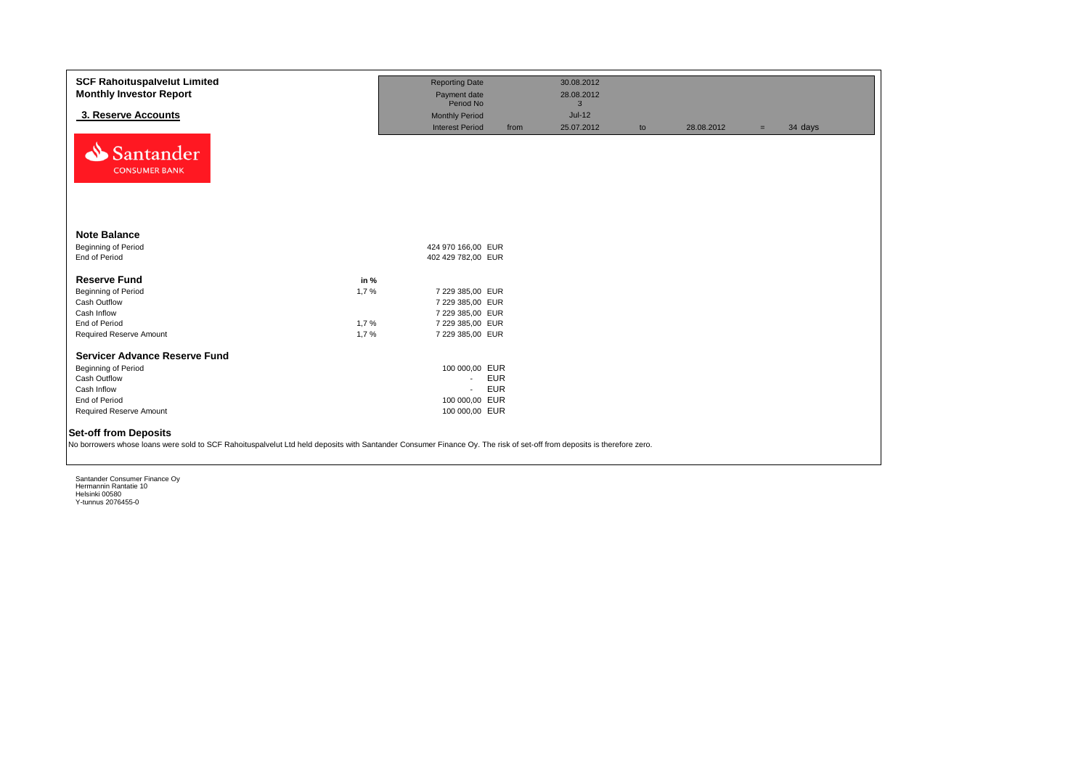| <b>SCF Rahoituspalvelut Limited</b><br><b>Monthly Investor Report</b><br>3. Reserve Accounts<br>Santander<br><b>CONSUMER BANK</b>                                                                                                                                                                                                        |                              | <b>Reporting Date</b><br>Payment date<br>Period No<br><b>Monthly Period</b><br><b>Interest Period</b>                                        | from                     | 30.08.2012<br>28.08.2012<br>$\mathbf{3}$<br>$Jul-12$<br>25.07.2012 | to | 28.08.2012 | $=$ | 34 days |
|------------------------------------------------------------------------------------------------------------------------------------------------------------------------------------------------------------------------------------------------------------------------------------------------------------------------------------------|------------------------------|----------------------------------------------------------------------------------------------------------------------------------------------|--------------------------|--------------------------------------------------------------------|----|------------|-----|---------|
| <b>Note Balance</b><br><b>Beginning of Period</b><br>End of Period<br><b>Reserve Fund</b><br>Beginning of Period<br>Cash Outflow<br>Cash Inflow<br>End of Period<br>Required Reserve Amount                                                                                                                                              | in %<br>1,7%<br>1,7%<br>1,7% | 424 970 166,00 EUR<br>402 429 782,00 EUR<br>7 229 385,00 EUR<br>7 229 385,00 EUR<br>7 229 385,00 EUR<br>7 229 385,00 EUR<br>7 229 385,00 EUR |                          |                                                                    |    |            |     |         |
| Servicer Advance Reserve Fund<br>Beginning of Period<br>Cash Outflow<br>Cash Inflow<br>End of Period<br>Required Reserve Amount<br><b>Set-off from Deposits</b><br>No borrowers whose loans were sold to SCF Rahoituspalvelut Ltd held deposits with Santander Consumer Finance Oy. The risk of set-off from deposits is therefore zero. |                              | 100 000,00 EUR<br>$\sim$<br>$\blacksquare$<br>100 000,00 EUR<br>100 000,00 EUR                                                               | <b>EUR</b><br><b>EUR</b> |                                                                    |    |            |     |         |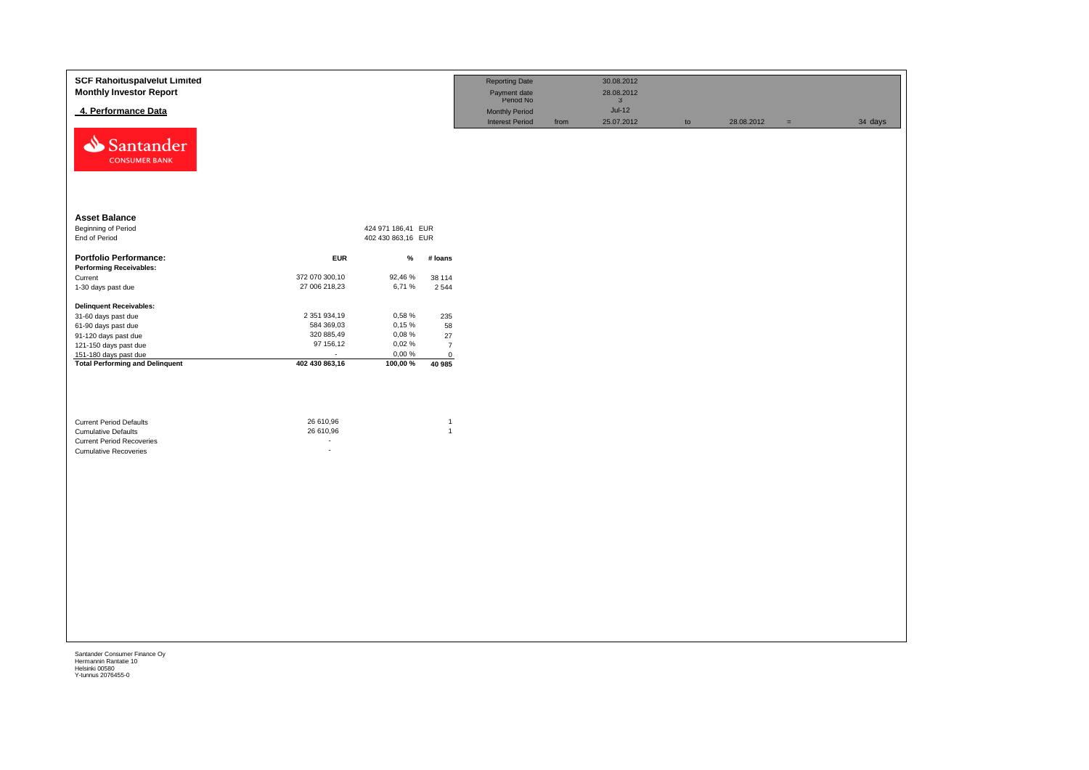| <b>SCF Rahoituspalvelut Limited</b><br><b>Monthly Investor Report</b> |                        |                    |                              | <b>Reporting Date</b><br>Payment date<br>Period No |      | 30.08.2012<br>28.08.2012<br>$\mathbf{3}$ |    |            |          |         |
|-----------------------------------------------------------------------|------------------------|--------------------|------------------------------|----------------------------------------------------|------|------------------------------------------|----|------------|----------|---------|
| 4. Performance Data                                                   |                        |                    |                              | <b>Monthly Period</b>                              |      | $Jul-12$                                 |    |            |          |         |
| Santander<br><b>CONSUMER BANK</b>                                     |                        |                    |                              | <b>Interest Period</b>                             | from | 25.07.2012                               | to | 28.08.2012 | $\equiv$ | 34 days |
| <b>Asset Balance</b>                                                  |                        |                    |                              |                                                    |      |                                          |    |            |          |         |
| Beginning of Period                                                   |                        | 424 971 186,41 EUR |                              |                                                    |      |                                          |    |            |          |         |
| End of Period                                                         |                        | 402 430 863,16 EUR |                              |                                                    |      |                                          |    |            |          |         |
| <b>Portfolio Performance:</b>                                         | <b>EUR</b>             | $\%$               | # loans                      |                                                    |      |                                          |    |            |          |         |
| <b>Performing Receivables:</b>                                        |                        |                    |                              |                                                    |      |                                          |    |            |          |         |
| Current                                                               | 372 070 300,10         | 92,46 %            | 38 114                       |                                                    |      |                                          |    |            |          |         |
| 1-30 days past due                                                    | 27 006 218,23          | 6,71 %             | 2 5 4 4                      |                                                    |      |                                          |    |            |          |         |
| <b>Delinquent Receivables:</b>                                        |                        |                    |                              |                                                    |      |                                          |    |            |          |         |
| 31-60 days past due                                                   | 2 351 934,19           | 0,58 %             | 235                          |                                                    |      |                                          |    |            |          |         |
| 61-90 days past due                                                   | 584 369,03             | 0,15%              | 58                           |                                                    |      |                                          |    |            |          |         |
| 91-120 days past due                                                  | 320 885,49             | 0,08%              | 27                           |                                                    |      |                                          |    |            |          |         |
| 121-150 days past due                                                 | 97 156,12              | 0,02%              | $\overline{7}$               |                                                    |      |                                          |    |            |          |         |
| 151-180 days past due                                                 |                        | 0,00%              | $\mathbf 0$                  |                                                    |      |                                          |    |            |          |         |
| <b>Total Performing and Delinquent</b>                                | 402 430 863,16         | 100,00 %           | 40 985                       |                                                    |      |                                          |    |            |          |         |
| <b>Current Period Defaults</b>                                        | 26 610,96<br>26 610,96 |                    | $\mathbf{1}$<br>$\mathbf{1}$ |                                                    |      |                                          |    |            |          |         |
| <b>Cumulative Defaults</b>                                            | $\cdot$                |                    |                              |                                                    |      |                                          |    |            |          |         |
| <b>Current Period Recoveries</b><br><b>Cumulative Recoveries</b>      | $\cdot$                |                    |                              |                                                    |      |                                          |    |            |          |         |
|                                                                       |                        |                    |                              |                                                    |      |                                          |    |            |          |         |
|                                                                       |                        |                    |                              |                                                    |      |                                          |    |            |          |         |
|                                                                       |                        |                    |                              |                                                    |      |                                          |    |            |          |         |
|                                                                       |                        |                    |                              |                                                    |      |                                          |    |            |          |         |
|                                                                       |                        |                    |                              |                                                    |      |                                          |    |            |          |         |
|                                                                       |                        |                    |                              |                                                    |      |                                          |    |            |          |         |
|                                                                       |                        |                    |                              |                                                    |      |                                          |    |            |          |         |
|                                                                       |                        |                    |                              |                                                    |      |                                          |    |            |          |         |
|                                                                       |                        |                    |                              |                                                    |      |                                          |    |            |          |         |
|                                                                       |                        |                    |                              |                                                    |      |                                          |    |            |          |         |
|                                                                       |                        |                    |                              |                                                    |      |                                          |    |            |          |         |
|                                                                       |                        |                    |                              |                                                    |      |                                          |    |            |          |         |
|                                                                       |                        |                    |                              |                                                    |      |                                          |    |            |          |         |
|                                                                       |                        |                    |                              |                                                    |      |                                          |    |            |          |         |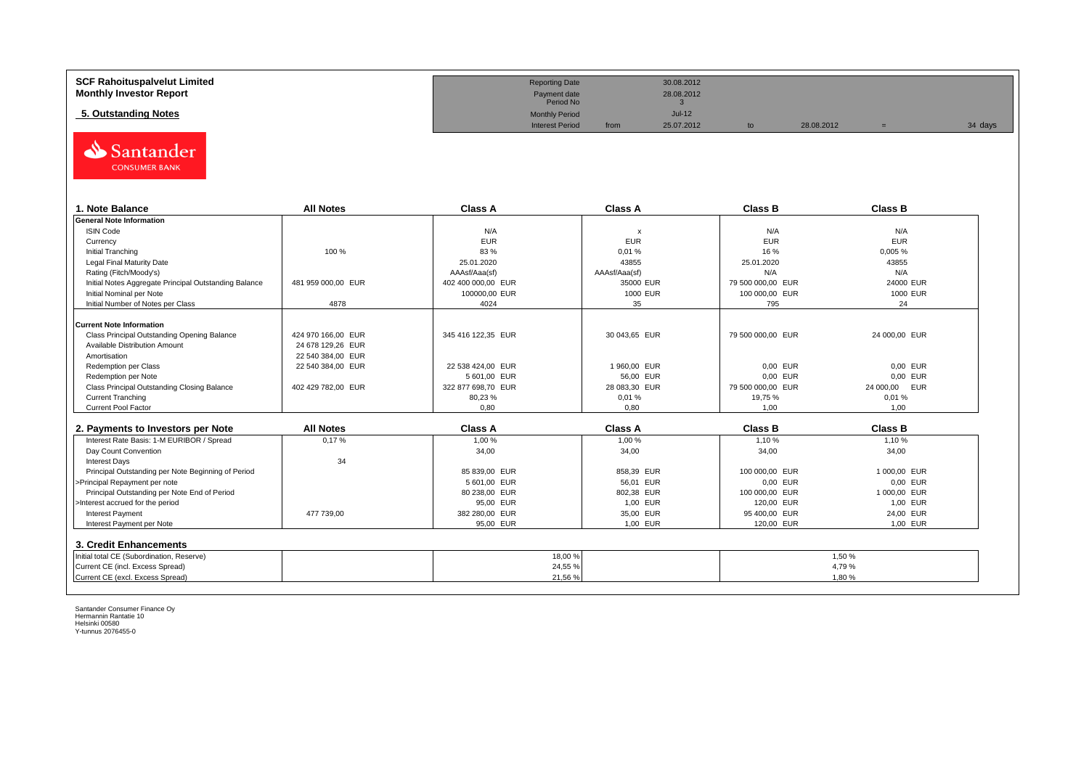| <b>SCF Rahoituspalvelut Limited</b> | <b>Reporting Date</b>     |      | 30.08.2012    |            |         |
|-------------------------------------|---------------------------|------|---------------|------------|---------|
| <b>Monthly Investor Report</b>      | Payment date<br>Period No |      | 28.08.2012    |            |         |
| 5. Outstanding Notes                | <b>Monthly Period</b>     |      | <b>Jul-12</b> |            |         |
|                                     | <b>Interest Period</b>    | from | 25.07.2012    | 28.08.2012 | 34 days |



| 1. Note Balance                                       | <b>All Notes</b>   | <b>Class A</b>     | <b>Class A</b>            | <b>Class B</b>    | <b>Class B</b> |
|-------------------------------------------------------|--------------------|--------------------|---------------------------|-------------------|----------------|
| <b>General Note Information</b>                       |                    |                    |                           |                   |                |
| <b>ISIN Code</b>                                      |                    | N/A                | $\boldsymbol{\mathsf{x}}$ | N/A               | N/A            |
| Currency                                              |                    | <b>EUR</b>         | <b>EUR</b>                | <b>EUR</b>        | <b>EUR</b>     |
| Initial Tranching                                     | 100 %              | 83 %               | 0,01%                     | 16 %              | 0,005%         |
| Legal Final Maturity Date                             |                    | 25.01.2020         | 43855                     | 25.01.2020        | 43855          |
| Rating (Fitch/Moody's)                                |                    | AAAsf/Aaa(sf)      | AAAsf/Aaa(sf)             | N/A               | N/A            |
| Initial Notes Aggregate Principal Outstanding Balance | 481 959 000,00 EUR | 402 400 000,00 EUR | 35000 EUR                 | 79 500 000.00 EUR | 24000 EUR      |
| Initial Nominal per Note                              |                    | 100000.00 EUR      | 1000 EUR                  | 100 000,00 EUR    | 1000 EUR       |
| Initial Number of Notes per Class                     | 4878               | 4024               | 35                        | 795               | 24             |
|                                                       |                    |                    |                           |                   |                |
| <b>Current Note Information</b>                       |                    |                    |                           |                   |                |
| Class Principal Outstanding Opening Balance           | 424 970 166.00 EUR | 345 416 122.35 EUR | 30 043,65 EUR             | 79 500 000.00 EUR | 24 000,00 EUR  |
| Available Distribution Amount                         | 24 678 129,26 EUR  |                    |                           |                   |                |
| Amortisation                                          | 22 540 384,00 EUR  |                    |                           |                   |                |
| Redemption per Class                                  | 22 540 384,00 EUR  | 22 538 424,00 EUR  | 1960,00 EUR               | 0,00 EUR          | 0.00 EUR       |
| Redemption per Note                                   |                    | 5 601,00 EUR       | 56,00 EUR                 | 0.00 EUR          | 0.00 EUR       |
| Class Principal Outstanding Closing Balance           | 402 429 782.00 EUR | 322 877 698.70 EUR | 28 083,30 EUR             | 79 500 000.00 EUR | 24 000,00 EUR  |
| <b>Current Tranching</b>                              |                    | 80,23%             | 0,01%                     | 19,75 %           | 0.01%          |
| Current Pool Factor                                   |                    | 0,80               | 0,80                      | 1.00              | 1,00           |

| 2. Payments to Investors per Note                  | <b>All Notes</b> | <b>Class A</b> | <b>Class A</b> | <b>Class B</b> | Class B      |
|----------------------------------------------------|------------------|----------------|----------------|----------------|--------------|
| Interest Rate Basis: 1-M EURIBOR / Spread          | 0.17%            | 1,00 %         | 1,00 %         | 1,10%          | 1,10 %       |
| Day Count Convention                               |                  | 34,00          | 34,00          | 34,00          | 34,00        |
| <b>Interest Days</b>                               | 34               |                |                |                |              |
| Principal Outstanding per Note Beginning of Period |                  | 85 839.00 EUR  | 858.39 EUR     | 100 000,00 EUR | 1 000.00 EUR |
| >Principal Repayment per note                      |                  | 5 601.00 EUR   | 56.01 EUR      | 0.00 EUR       | 0.00 EUR     |
| Principal Outstanding per Note End of Period       |                  | 80 238.00 EUR  | 802.38 EUR     | 100 000,00 EUR | 1 000.00 EUR |
| >Interest accrued for the period                   |                  | 95.00 EUR      | 1.00 EUR       | 120.00 EUR     | 1.00 EUR     |
| <b>Interest Payment</b>                            | 477 739.00       | 382 280.00 EUR | 35.00 EUR      | 95 400.00 EUR  | 24.00 EUR    |
| Interest Payment per Note                          |                  | 95.00 EUR      | 1.00 EUR       | 120.00 EUR     | 1.00 EUR     |
| 3. Credit Enhancements                             |                  |                |                |                |              |
| Initial total CE (Subordination, Reserve)          |                  | 18,00 %        |                |                | 1.50 %       |
| Current CE (incl. Excess Spread)                   |                  | 24,55 %        |                |                | 4.79%        |
| Current CE (excl. Excess Spread)                   |                  | 21,56 %        |                |                | 1.80%        |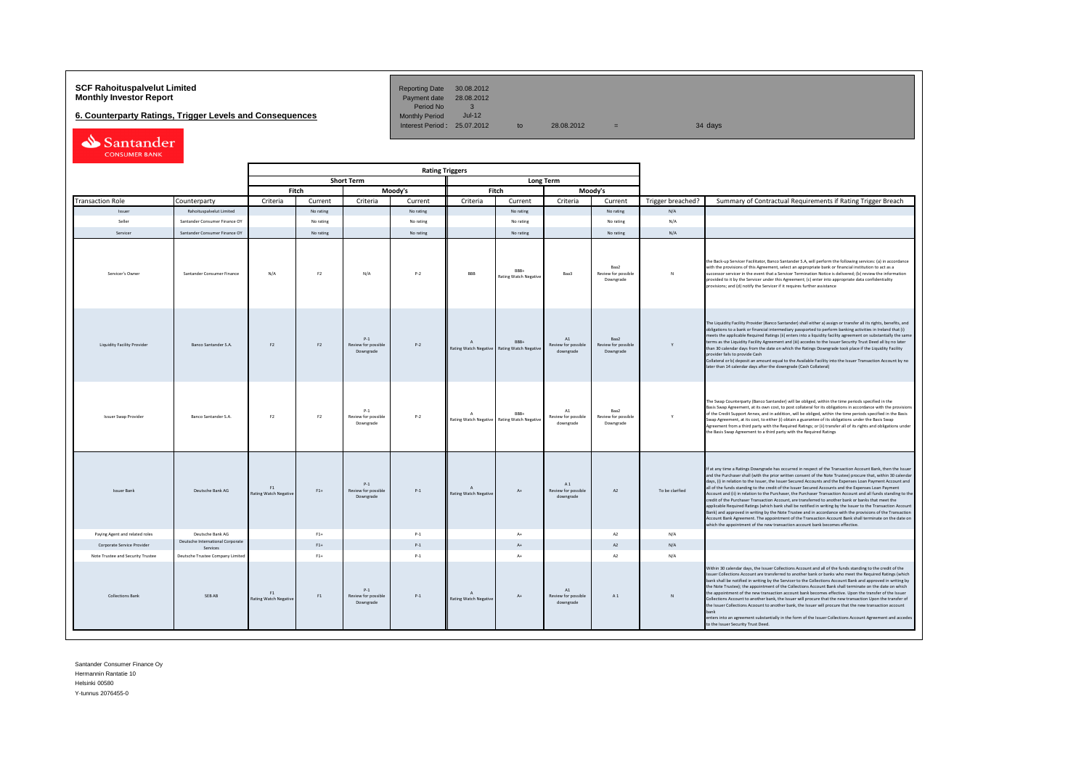# **SCF Rahoituspalvelut Limited Reporting Date 30.08.2012**<br>**Monthly Investor Report** Payment date 28.08.2012

**6. Counterparty Ratings, Trigger Levels and Consequences** 

Period No 3<br>Monthly Period Jul-12 Interest Period:  $25.07.2012$  to  $28.08.2012$  = 34 days

| Santander            |
|----------------------|
| <b>CONSUMER BANK</b> |

|                                    |                                              |                                    | <b>Rating Triggers</b> |                                           |           |                                           |                                                     |                                        |                                          |                   |                                                                                                                                                                                                                                                                                                                                                                                                                                                                                                                                                                                                                                                                                                                                                                                                                                                                                                                                                                                                                                                                                                      |
|------------------------------------|----------------------------------------------|------------------------------------|------------------------|-------------------------------------------|-----------|-------------------------------------------|-----------------------------------------------------|----------------------------------------|------------------------------------------|-------------------|------------------------------------------------------------------------------------------------------------------------------------------------------------------------------------------------------------------------------------------------------------------------------------------------------------------------------------------------------------------------------------------------------------------------------------------------------------------------------------------------------------------------------------------------------------------------------------------------------------------------------------------------------------------------------------------------------------------------------------------------------------------------------------------------------------------------------------------------------------------------------------------------------------------------------------------------------------------------------------------------------------------------------------------------------------------------------------------------------|
|                                    | <b>Short Term</b><br><b>Long Term</b>        |                                    |                        |                                           |           |                                           |                                                     |                                        |                                          |                   |                                                                                                                                                                                                                                                                                                                                                                                                                                                                                                                                                                                                                                                                                                                                                                                                                                                                                                                                                                                                                                                                                                      |
|                                    |                                              |                                    | Fitch                  | Moody's<br>Fitch<br>Moody's               |           |                                           |                                                     |                                        |                                          |                   |                                                                                                                                                                                                                                                                                                                                                                                                                                                                                                                                                                                                                                                                                                                                                                                                                                                                                                                                                                                                                                                                                                      |
| <b>Transaction Role</b>            | Counterparty                                 | Criteria                           | Current                | Criteria                                  | Current   | Criteria                                  | Current                                             | Criteria                               | Current                                  | Trigger breached? | Summary of Contractual Requirements if Rating Trigger Breach                                                                                                                                                                                                                                                                                                                                                                                                                                                                                                                                                                                                                                                                                                                                                                                                                                                                                                                                                                                                                                         |
| Issuer                             | Rahoituspalvelut Limited                     |                                    | No rating              |                                           | No rating |                                           | No rating                                           |                                        | No rating                                | N/A               |                                                                                                                                                                                                                                                                                                                                                                                                                                                                                                                                                                                                                                                                                                                                                                                                                                                                                                                                                                                                                                                                                                      |
| Seller                             | Santander Consumer Finance OY                |                                    | No rating              |                                           | No rating |                                           | No rating                                           |                                        | No rating                                | N/A               |                                                                                                                                                                                                                                                                                                                                                                                                                                                                                                                                                                                                                                                                                                                                                                                                                                                                                                                                                                                                                                                                                                      |
| Servicer                           | Santander Consumer Finance OY                |                                    | No rating              |                                           | No rating |                                           | No rating                                           |                                        | No rating                                | N/A               |                                                                                                                                                                                                                                                                                                                                                                                                                                                                                                                                                                                                                                                                                                                                                                                                                                                                                                                                                                                                                                                                                                      |
| Servicer's Owner                   | Santander Consumer Finance                   | N/A                                | F <sub>2</sub>         | N/A                                       | $P-2$     | <b>BBB</b>                                | RRR.<br><b>Rating Watch Negative</b>                | Baa3                                   | Raa2<br>Review for possible<br>Downgrade | N                 | the Back-up Servicer Facilitator, Banco Santander S.A, will perform the following services: (a) in accordance<br>with the provisions of this Agreement, select an appropriate bank or financial institution to act as a<br>uccessor servicer in the event that a Servicer Termination Notice is delivered; (b) review the information<br>rovided to it by the Servicer under this Agreement; (c) enter into appropriate data confidentiality<br>rovisions; and (d) notify the Servicer if it requires further assistance                                                                                                                                                                                                                                                                                                                                                                                                                                                                                                                                                                             |
| <b>Liquidity Facility Provider</b> | Banco Santander S.A.                         | F <sub>2</sub>                     | F <sub>2</sub>         | $P-1$<br>Review for possible<br>Downgrade | $P-2$     | <b>Rating Watch Negative</b>              | BBB+<br><b>Rating Watch Negative</b>                | A1<br>Review for possible<br>downgrade | Baa2<br>Review for possible<br>Downgrade |                   | The Liquidity Facility Provider (Banco Santander) shall either a) assign or transfer all its rights, benefits, and<br>bligations to a bank or financial intermediary passported to perform banking activities in Ireland that (i)<br>neets the applicable Required Ratings (ii) enters into a liquidity facility agreement on substantially the same<br>erms as the Liquidity Facility Agreement and (iii) accedes to the Issuer Security Trust Deed all by no later<br>han 30 calendar days from the date on which the Ratings Downgrade took place if the Liquidity Facility<br>provider fails to provide Cash<br>Collateral or b) deposit an amount equal to the Available Facility into the Issuer Transaction Account by no<br>ater than 14 calendar days after the downgrade (Cash Collateral)                                                                                                                                                                                                                                                                                                 |
| <b>Issuer Swap Provider</b>        | Banco Santander S.A.                         | F <sub>2</sub>                     | F2                     | $P-1$<br>Review for possible<br>Downgrade | $P-2$     | $\Lambda$                                 | RRR-<br>Rating Watch Negative Rating Watch Negative | A1<br>Review for possible<br>downgrade | Raa2<br>Review for possible<br>Downgrade | Y                 | The Swap Counterparty (Banco Santander) will be obliged, within the time periods specified in the<br>Basis Swap Agreement, at its own cost, to post collateral for its obligations in accordance with the provisions<br>of the Credit Support Annex, and in addition, will be obliged, within the time periods specified in the Basis<br>Swap Agreement, at its cost, to either (i) obtain a guarantee of its obligations under the Basis Swap<br>Agreement from a third party with the Required Ratings; or (ii) transfer all of its rights and obligations under<br>the Basis Swap Agreement to a third party with the Required Ratings                                                                                                                                                                                                                                                                                                                                                                                                                                                            |
| <b>Issuer Bank</b>                 | Deutsche Bank AG                             | F1<br><b>Rating Watch Negative</b> | $F1+$                  | $P-1$<br>Review for possible<br>Downgrade | $P-1$     | $\Lambda$<br><b>Rating Watch Negative</b> | $A+$                                                | A1<br>Review for possible<br>downgrade | A2                                       | To be clarified   | If at any time a Ratings Downgrade has occurred in respect of the Transaction Account Bank, then the Issuer<br>and the Purchaser shall (with the prior written consent of the Note Trustee) procure that, within 30 calendar<br>days, (i) in relation to the Issuer, the Issuer Secured Accounts and the Expenses Loan Payment Account and<br>all of the funds standing to the credit of the Issuer Secured Accounts and the Expenses Loan Payment<br>Account and (ii) in relation to the Purchaser, the Purchaser Transaction Account and all funds standing to the<br>credit of the Purchaser Transaction Account, are transferred to another bank or banks that meet the<br>applicable Required Ratings (which bank shall be notified in writing by the Issuer to the Transaction Account<br>Bank) and approved in writing by the Note Trustee and in accordance with the provisions of the Transaction<br>Account Bank Agreement. The appointment of the Transaction Account Bank shall terminate on the date on<br>which the appointment of the new transaction account bank becomes effective. |
| Paying Agent and related roles     | Deutsche Bank AG                             |                                    | $F1+$                  |                                           | $P-1$     |                                           | $A+$                                                |                                        | A2                                       | N/A               |                                                                                                                                                                                                                                                                                                                                                                                                                                                                                                                                                                                                                                                                                                                                                                                                                                                                                                                                                                                                                                                                                                      |
| Corporate Service Provider         | Deutsche International Corporate<br>Services |                                    | $F1+$                  |                                           | $P-1$     |                                           | $\Lambda$                                           |                                        | A2                                       | N/A               |                                                                                                                                                                                                                                                                                                                                                                                                                                                                                                                                                                                                                                                                                                                                                                                                                                                                                                                                                                                                                                                                                                      |
| Note Trustee and Security Trustee  | Deutsche Trustee Company Limited             |                                    | $F1+$                  |                                           | $P-1$     |                                           | $A+$                                                |                                        | A <sub>2</sub>                           | N/A               |                                                                                                                                                                                                                                                                                                                                                                                                                                                                                                                                                                                                                                                                                                                                                                                                                                                                                                                                                                                                                                                                                                      |
| <b>Collections Bank</b>            | SEB AB                                       | F1<br>Rating Watch Negative        | F1                     | $P-1$<br>Review for possible<br>Downgrade | $P-1$     | Rating Watch Negative                     | $A+$                                                | A1<br>Review for possible<br>downgrade | A1                                       |                   | Vithin 30 calendar days, the Issuer Collections Account and all of the funds standing to the credit of the<br>ssuer Collections Account are transferred to another bank or banks who meet the Required Ratings (which<br>ank shall be notified in writing by the Servicer to the Collections Account Bank and approved in writing by<br>he Note Trustee); the appointment of the Collections Account Bank shall terminate on the date on which<br>he appointment of the new transaction account bank becomes effective. Upon the transfer of the Issuer<br>ollections Account to another bank, the Issuer will procure that the new transaction Upon the transfer of<br>he Issuer Collections Acoount to another bank, the Issuer will procure that the new transaction account<br>nters into an agreement substantially in the form of the Issuer Collections Account Agreement and accedes<br>o the Issuer Security Trust Deed                                                                                                                                                                     |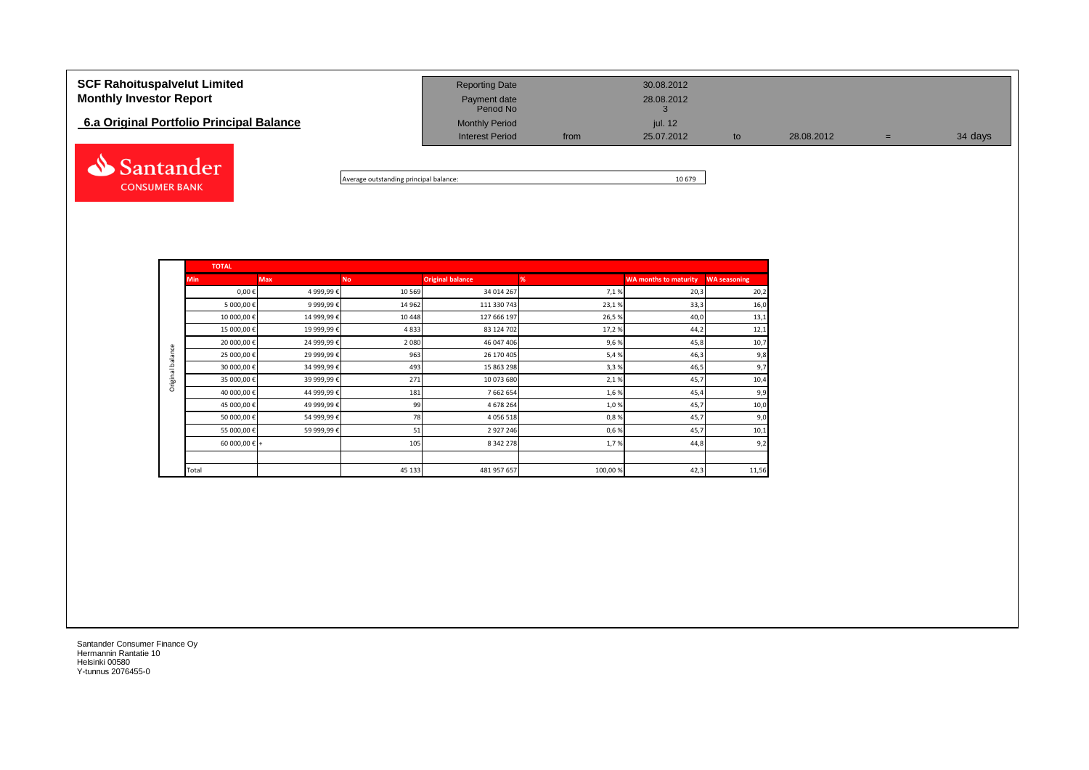| <b>SCF Rahoituspalvelut Limited</b><br><b>Monthly Investor Report</b><br>6.a Original Portfolio Principal Balance | <b>Reporting Date</b><br>Payment date<br>Period No<br><b>Monthly Period</b><br><b>Interest Period</b> | from | 30.08.2012<br>28.08.2012<br>jul. 12<br>25.07.2012 | to | 28.08.2012 | $=$ | 34 days |
|-------------------------------------------------------------------------------------------------------------------|-------------------------------------------------------------------------------------------------------|------|---------------------------------------------------|----|------------|-----|---------|
| Santander                                                                                                         |                                                                                                       |      |                                                   |    |            |     |         |

Average outstanding principal balance: 10 679

|                  | <b>TOTAL</b>           |             |           |                         |         |                              |                     |
|------------------|------------------------|-------------|-----------|-------------------------|---------|------------------------------|---------------------|
|                  | <b>Min</b>             | <b>Max</b>  | <b>No</b> | <b>Original balance</b> | %       | <b>WA months to maturity</b> | <b>WA seasoning</b> |
|                  | $0,00 \in$             | 4 999,99€   | 10 5 69   | 34 014 267              | 7,1%    | 20,3                         | 20,2                |
|                  | 5 000,00 €             | 9 999,99€   | 14 962    | 111 330 743             | 23,1%   | 33,3                         | 16,0                |
|                  | 10 000,00 €            | 14 999,99 € | 10 4 48   | 127 666 197             | 26,5%   | 40,0                         | 13,1                |
|                  | 15 000,00 €            | 19 999,99€  | 4833      | 83 124 702              | 17,2%   | 44,2                         | 12,1                |
|                  | 20 000,00 €            | 24 999,99 € | 2 0 8 0   | 46 047 406              | 9,6%    | 45,8                         | 10,7                |
| Original balance | 25 000,00€             | 29 999,99€  | 963       | 26 170 405              | 5,4%    | 46,3                         | 9,8                 |
|                  | 30 000,00 €            | 34 999,99 € | 493       | 15 863 298              | 3,3%    | 46,5                         | 9,7                 |
|                  | 35 000,00 €            | 39 999,99 € | 271       | 10 073 680              | 2,1%    | 45,7                         | 10,4                |
|                  | 40 000,00€             | 44 999,99€  | 181       | 7 662 654               | 1,6%    | 45,4                         | 9,9                 |
|                  | 45 000,00 €            | 49 999,99€  | 99        | 4 678 264               | 1,0%    | 45,7                         | 10,0                |
|                  | 50 000,00 €            | 54 999,99€  | 78        | 4 0 5 6 5 1 8           | 0,8%    | 45,7                         | 9,0                 |
|                  | 55 000,00 €            | 59 999,99€  | 51        | 2 9 2 7 2 4 6           | 0,6%    | 45,7                         | 10,1                |
|                  | 60 000,00 $\epsilon$ + |             | 105       | 8 3 4 2 2 7 8           | 1,7%    | 44,8                         | 9,2                 |
|                  |                        |             |           |                         |         |                              |                     |
|                  | Total                  |             | 45 133    | 481 957 657             | 100,00% | 42,3                         | 11,56               |

Santander Consumer Finance Oy Hermannin Rantatie 10 Helsinki 00580 Y-tunnus 2076455-0

**CONSUMER BANK**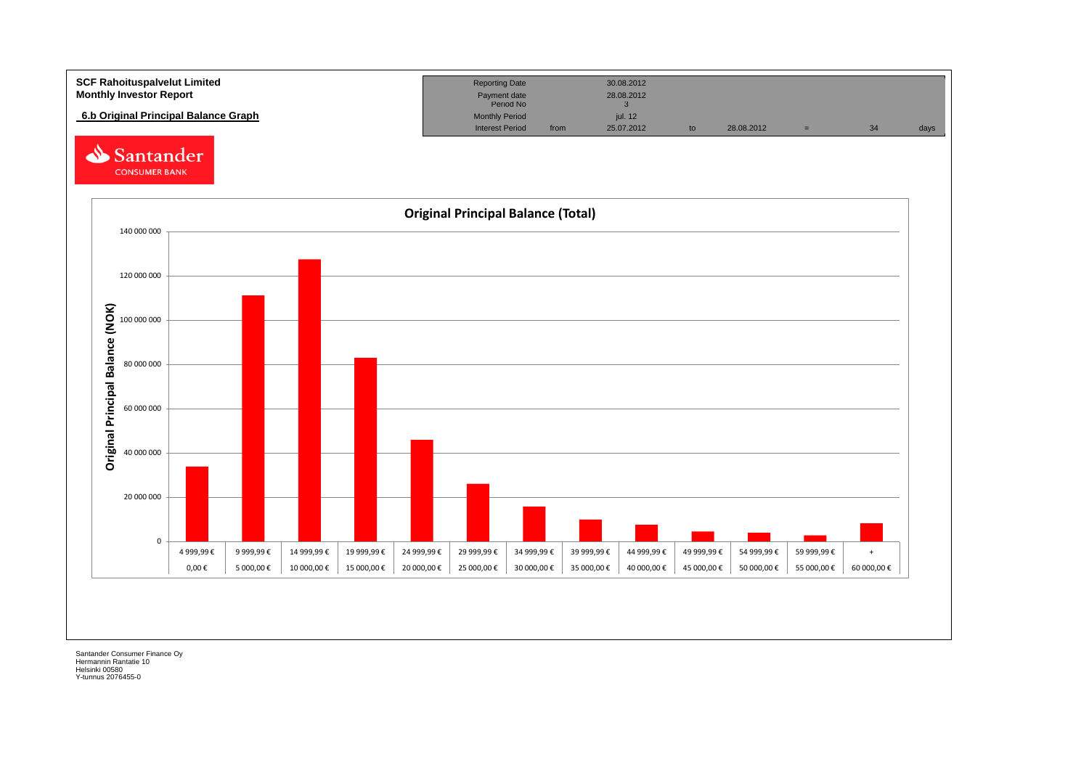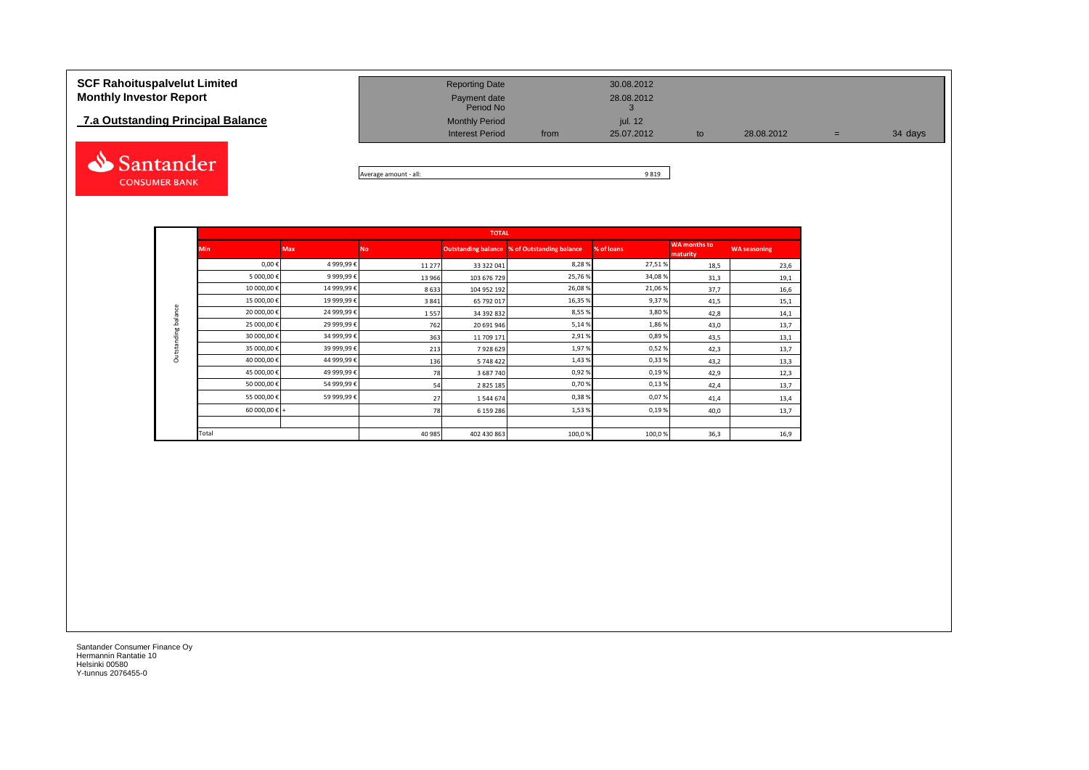# **7.a Outstanding Principal Balance**



| <b>SCF Rahoituspalvelut Limited</b> | <b>Reporting Date</b>     |      | 30.08.2012 |    |            |     |         |
|-------------------------------------|---------------------------|------|------------|----|------------|-----|---------|
| <b>Monthly Investor Report</b>      | Payment date<br>Period No |      | 28.08.2012 |    |            |     |         |
| 7.a Outstanding Principal Balance   | <b>Monthly Period</b>     |      | jul. 12    |    |            |     |         |
|                                     | <b>Interest Period</b>    | from | 25.07.2012 | to | 28.08.2012 | $=$ | 34 days |
|                                     |                           |      |            |    |            |     |         |

Average amount - all: 9 819

|                     |                        |            |           | <b>TOTAL</b>  |                                                     |            |                                 |                     |
|---------------------|------------------------|------------|-----------|---------------|-----------------------------------------------------|------------|---------------------------------|---------------------|
|                     | <b>Min</b>             | <b>Max</b> | <b>No</b> |               | <b>Outstanding balance % of Outstanding balance</b> | % of loans | <b>WA months to</b><br>maturity | <b>WA seasoning</b> |
|                     | $0,00 \in$             | 4 999,99€  | 11 277    | 33 322 041    | 8,28%                                               | 27,51%     | 18,5                            | 23,6                |
|                     | 5 000,00€              | 9 999,99€  | 13 966    | 103 676 729   | 25,76%                                              | 34,08%     | 31,3                            | 19,1                |
|                     | 10 000,00€             | 14 999,99€ | 8633      | 104 952 192   | 26,08%                                              | 21,06%     | 37,7                            | 16,6                |
|                     | 15 000,00€             | 19 999,99€ | 3841      | 65 792 017    | 16,35 %                                             | 9,37%      | 41,5                            | 15,1                |
| Outstanding balance | 20 000,00€             | 24 999,99€ | 1557      | 34 392 832    | 8,55%                                               | 3,80%      | 42,8                            | 14,1                |
|                     | 25 000,00€             | 29 999,99€ | 762       | 20 691 946    | 5,14%                                               | 1,86%      | 43,0                            | 13,7                |
|                     | 30 000,00€             | 34 999,99€ | 363       | 11 709 171    | 2,91%                                               | 0,89%      | 43,5                            | 13,1                |
|                     | 35 000,00€             | 39 999,99€ | 213       | 7928629       | 1,97%                                               | 0,52%      | 42,3                            | 13,7                |
|                     | 40 000,00€             | 44 999,99€ | 136       | 5 748 422     | 1,43%                                               | 0,33%      | 43,2                            | 13,3                |
|                     | 45 000,00€             | 49 999,99€ | 78        | 3 687 740     | 0,92%                                               | 0,19%      | 42,9                            | 12,3                |
|                     | 50 000,00€             | 54 999,99€ | 54        | 2 8 2 5 1 8 5 | 0,70%                                               | 0,13%      | 42,4                            | 13,7                |
|                     | 55 000,00€             | 59 999,99€ | 27        | 1544674       | 0,38%                                               | 0,07%      | 41,4                            | 13,4                |
|                     | 60 000,00 $\epsilon$ + |            | 78        | 6 159 286     | 1,53%                                               | 0,19%      | 40,0                            | 13,7                |
|                     |                        |            |           |               |                                                     |            |                                 |                     |
|                     | Total                  |            | 40 985    | 402 430 863   | 100,0%                                              | 100,0%     | 36,3                            | 16,9                |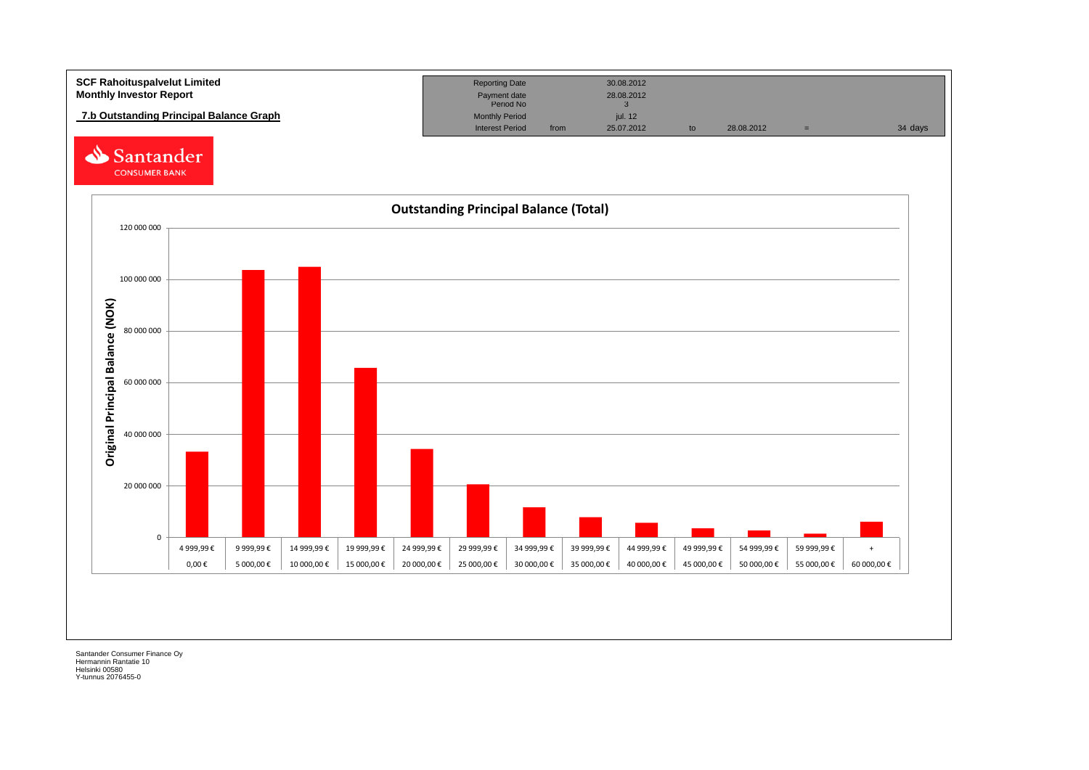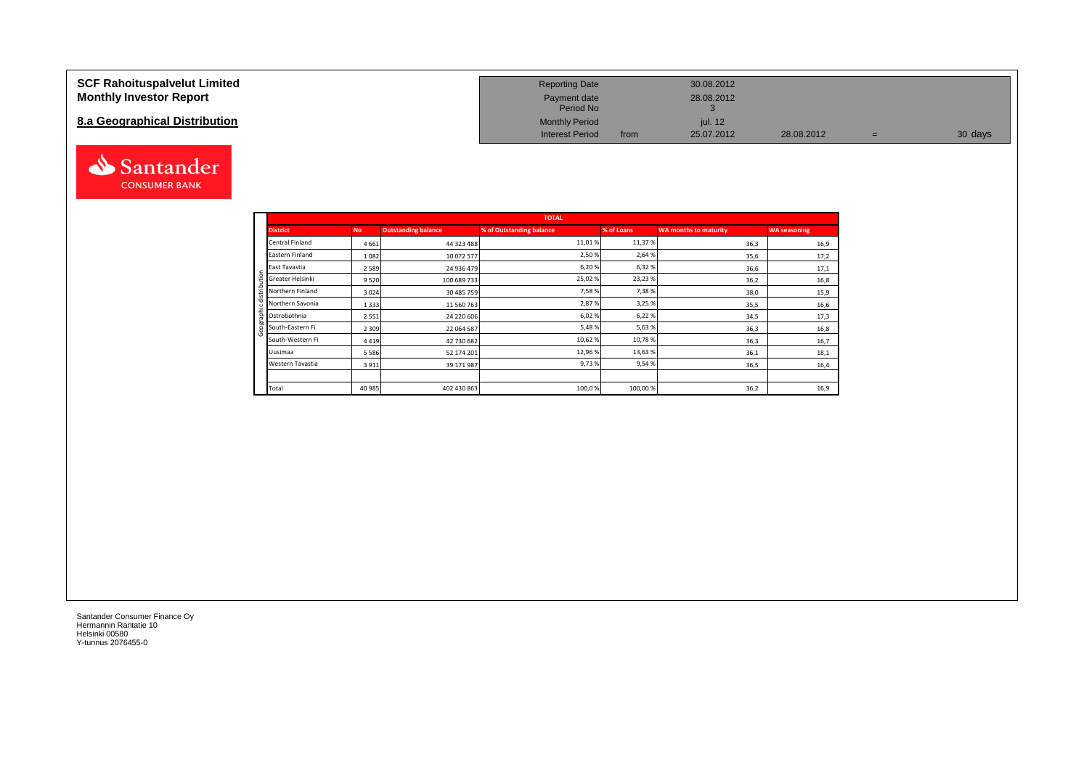### **SCF Rahoituspalvelut Limited Monthly Investor Report**

# **8.a Geographical Distribution**



| <b>Reporting Date</b>     |      | 30.08.2012 |            |     |         |
|---------------------------|------|------------|------------|-----|---------|
| Payment date<br>Period No |      | 28.08.2012 |            |     |         |
| <b>Monthly Period</b>     |      | jul. 12    |            |     |         |
| <b>Interest Period</b>    | from | 25.07.2012 | 28.08.2012 | $=$ | 30 days |

|                       |           |                            | <b>TOTAL</b>             |            |                              |                     |
|-----------------------|-----------|----------------------------|--------------------------|------------|------------------------------|---------------------|
| <b>District</b>       | <b>No</b> | <b>Outstanding balance</b> | % of Outstanding balance | % of Loans | <b>WA months to maturity</b> | <b>WA seasoning</b> |
| Central Finland       | 4 6 6 1   | 44 323 488                 | 11,01%                   | 11,37%     | 36,3                         | 16,9                |
| Eastern Finland       | 1082      | 10 072 577                 | 2,50%                    | 2,64 %     | 35,6                         | 17,2                |
| East Tavastia         | 2 5 8 9   | 24 936 479                 | 6,20%                    | 6,32%      | 36,6                         | 17,1                |
| Greater Helsinki<br>÷ | 9520      | 100 689 733                | 25,02%                   | 23,23%     | 36,2                         | 16,8                |
| Northern Finland      | 3024      | 30 485 759                 | 7,58%                    | 7,38%      | 38,0                         | 15,9                |
| Northern Savonia      | 1 3 3 3   | 11 560 763                 | 2,87%                    | 3,25 %     | 35,5                         | 16,6                |
| đ<br>Ostrobothnia     | 2 5 5 1   | 24 220 606                 | 6,02%                    | 6,22%      | 34,5                         | 17,3                |
| South-Eastern Fi      | 2 3 0 9   | 22 064 587                 | 5,48%                    | 5,63%      | 36,3                         | 16,8                |
| South-Western Fi      | 4419      | 42 730 682                 | 10,62%                   | 10,78%     | 36,3                         | 16,7                |
| Uusimaa               | 5 5 8 6   | 52 174 201                 | 12,96%                   | 13,63%     | 36,1                         | 18,1                |
| Western Tavastia      | 3911      | 39 171 987                 | 9,73%                    | 9,54%      | 36,5                         | 16,4                |
|                       |           |                            |                          |            |                              |                     |
| Total                 | 40 985    | 402 430 863                | 100,0%                   | 100,00%    | 36,2                         | 16,9                |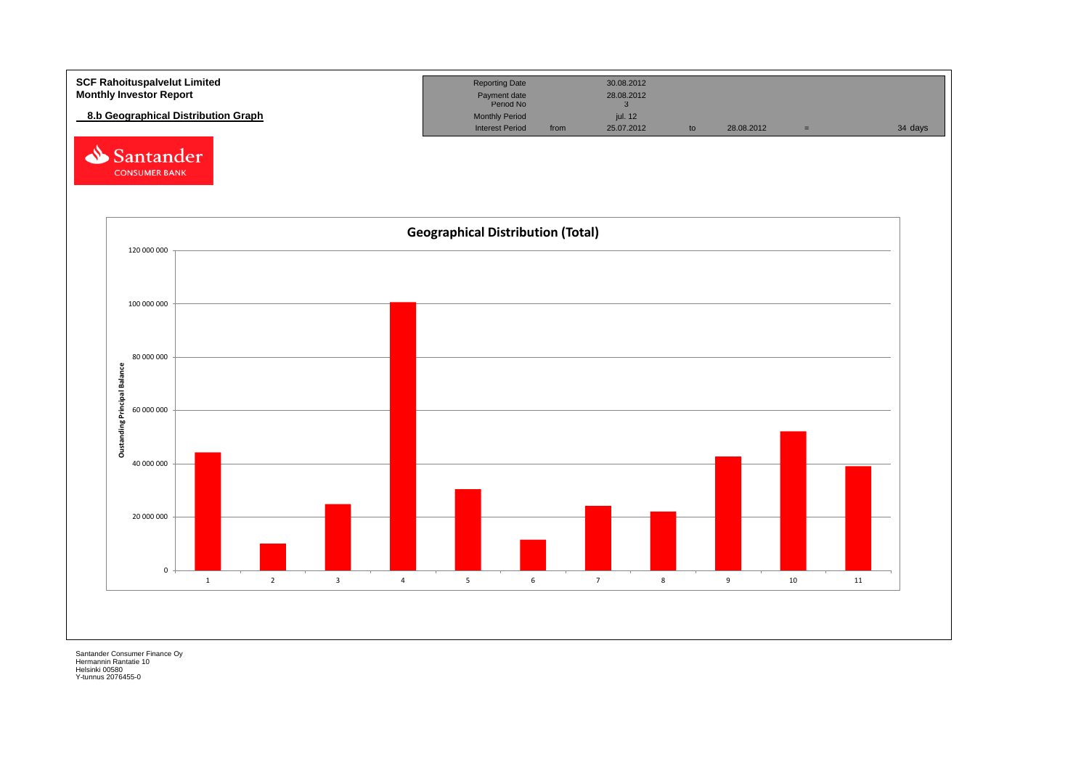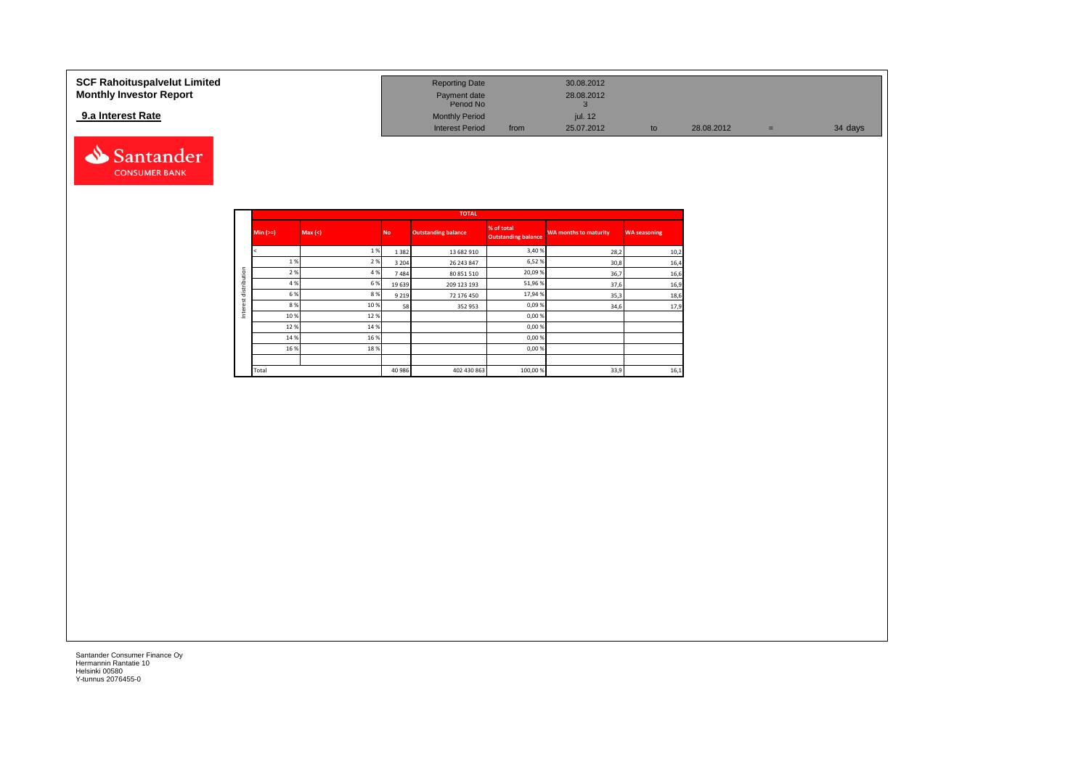# **SCF Rahoituspalvelut Limited** and **Reporting Date 30.08.2012** Reporting Date 30.08.2012 **Monthly Investor Report Payment date** 28.08.2012 **9.a Interest Rate**



| <b>Reporting Date</b>     |      | 30.08.2012     |    |            |   |         |
|---------------------------|------|----------------|----|------------|---|---------|
| Payment date<br>Period No |      | 28.08.2012<br> |    |            |   |         |
| <b>Monthly Period</b>     |      | jul. 12        |    |            |   |         |
| <b>Interest Period</b>    | from | 25.07.2012     | to | 28.08.2012 | = | 34 days |

|              |             |         |           | <b>TOTAL</b>               |                                          |                              |                     |
|--------------|-------------|---------|-----------|----------------------------|------------------------------------------|------------------------------|---------------------|
|              | $Min (=)=)$ | Max (<) | <b>No</b> | <b>Outstanding balance</b> | % of total<br><b>Outstanding balance</b> | <b>WA months to maturity</b> | <b>WA seasoning</b> |
|              |             | 1%      | 1 3 8 2   | 13 682 910                 | 3,40 %                                   | 28,2                         | 10,2                |
|              | 1 %         | 2%      | 3 2 0 4   | 26 243 847                 | 6,52%                                    | 30,8                         | 16,4                |
| distribution | 2 %         | 4 %     | 7484      | 80 851 510                 | 20,09%                                   | 36,7                         | 16,6                |
|              | 4 %         | 6%      | 19 639    | 209 123 193                | 51,96 %                                  | 37,6                         | 16,9                |
| ë            | 6%          | 8%      | 9 2 1 9   | 72 176 450                 | 17,94 %                                  | 35,3                         | 18,6                |
|              | 8%          | 10 %    | 58        | 352953                     | 0,09%                                    | 34,6                         | 17,9                |
| Inter        | 10%         | 12%     |           |                            | 0,00 %                                   |                              |                     |
|              | 12%         | 14 %    |           |                            | 0,00%                                    |                              |                     |
|              | 14 %        | 16 %    |           |                            | 0,00%                                    |                              |                     |
|              | 16 %        | 18%     |           |                            | 0,00%                                    |                              |                     |
|              |             |         |           |                            |                                          |                              |                     |
|              | Total       |         | 40 986    | 402 430 863                | 100,00 %                                 | 33,9                         | 16,1                |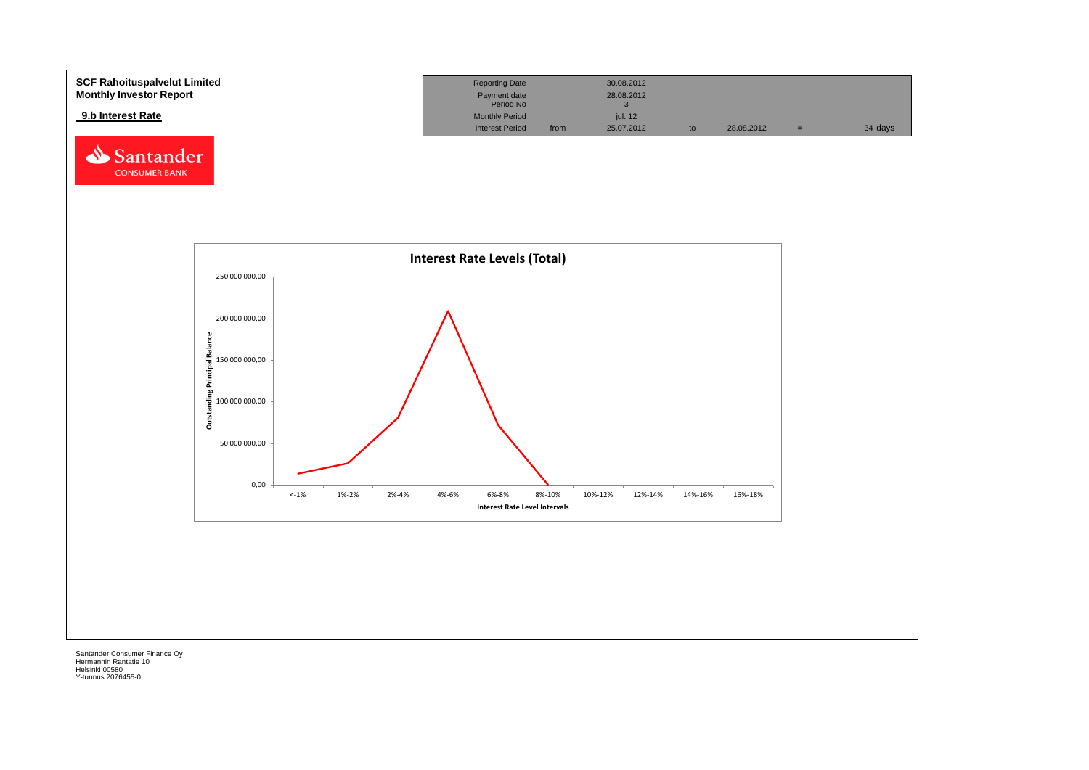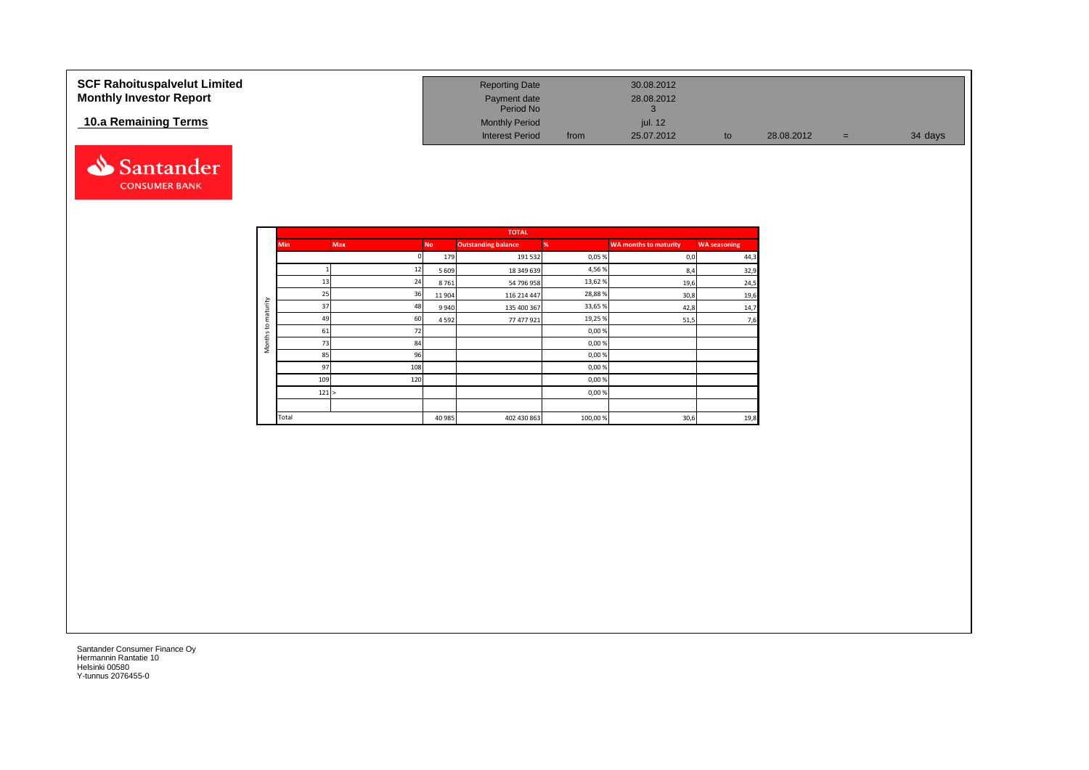| <b>SCF Rahoituspalvelut Limited</b><br><b>Monthly Investor Report</b> | <b>Reporting Date</b><br>Payment date<br>Period No |      | 30.08.2012<br>28.08.2012 |    |            |     |         |
|-----------------------------------------------------------------------|----------------------------------------------------|------|--------------------------|----|------------|-----|---------|
| 10.a Remaining Terms                                                  | <b>Monthly Period</b><br><b>Interest Period</b>    | from | jul. 12<br>25.07.2012    | to | 28.08.2012 | $=$ | 34 days |



|                     |            |            |           | <b>TOTAL</b>               |         |                              |                     |
|---------------------|------------|------------|-----------|----------------------------|---------|------------------------------|---------------------|
|                     | <b>Min</b> | <b>Max</b> | <b>No</b> | <b>Outstanding balance</b> | %       | <b>WA months to maturity</b> | <b>WA seasoning</b> |
|                     |            |            | 179       | 191 532                    | 0,05%   | 0,0                          | 44,3                |
|                     |            | 12         | 5 6 0 9   | 18 349 639                 | 4,56%   | 8,4                          | 32,9                |
|                     | 13         | 24         | 8761      | 54 796 958                 | 13,62%  | 19,6                         | 24,5                |
|                     | 25         | 36         | 11 904    | 116 214 447                | 28,88%  | 30,8                         | 19,6                |
| maturity            | 37         | 48         | 9940      | 135 400 367                | 33,65%  | 42,8                         | 14,7                |
|                     | 49         | 60         | 4592      | 77 477 921                 | 19,25%  | 51,5                         | 7,6                 |
| 5                   | 61         | 72         |           |                            | 0,00%   |                              |                     |
| Months <sup>-</sup> | 73         | 84         |           |                            | 0,00%   |                              |                     |
|                     | 85         | 96         |           |                            | 0,00%   |                              |                     |
|                     | 97         | 108        |           |                            | 0,00%   |                              |                     |
|                     | 109        | 120        |           |                            | 0,00%   |                              |                     |
|                     | 121 >      |            |           |                            | 0,00%   |                              |                     |
|                     |            |            |           |                            |         |                              |                     |
|                     | Total      |            | 40 985    | 402 430 863                | 100,00% | 30,6                         | 19,8                |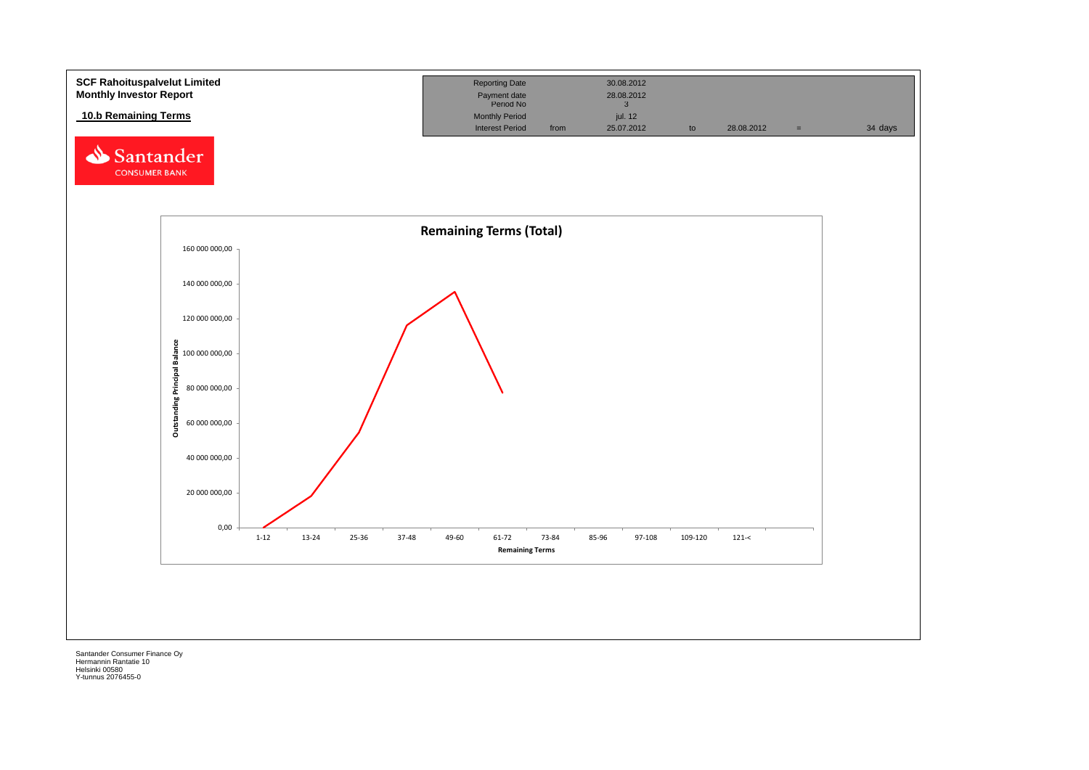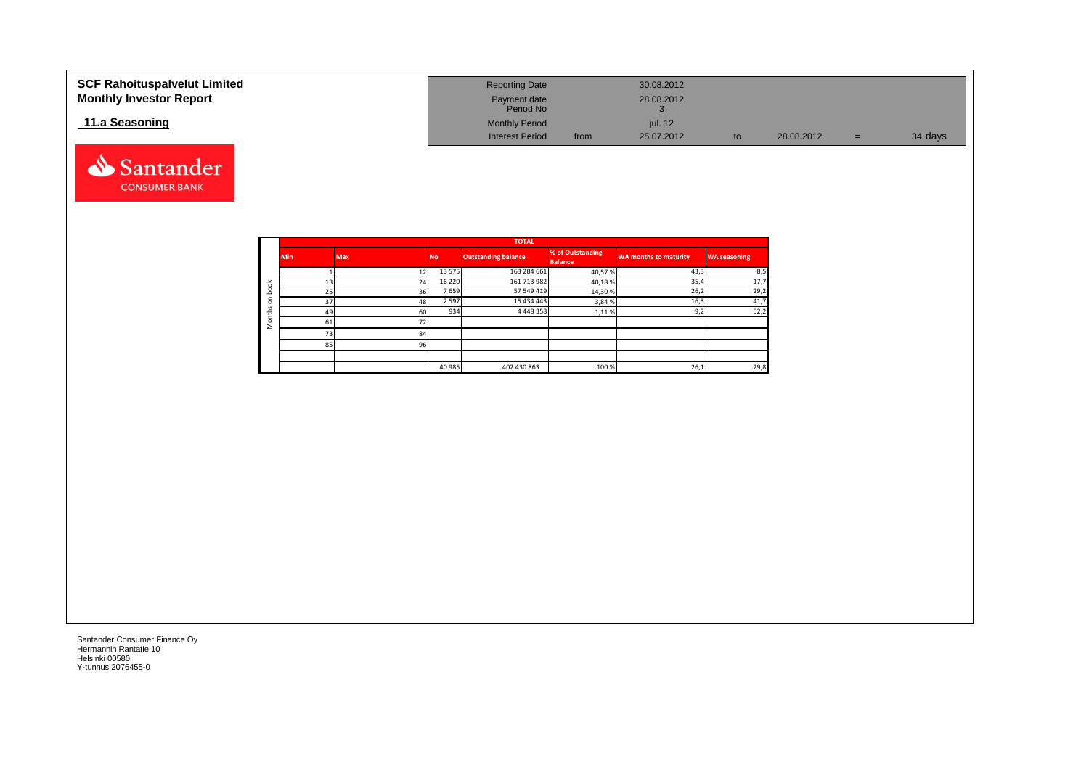| <b>SCF Rahoituspalvelut Limited</b><br><b>Monthly Investor Report</b> | <b>Reporting Date</b><br>Payment date<br>Period No |      | 30.08.2012<br>28.08.2012 |    |            |     |         |
|-----------------------------------------------------------------------|----------------------------------------------------|------|--------------------------|----|------------|-----|---------|
| 11.a Seasoning                                                        | <b>Monthly Period</b><br><b>Interest Period</b>    | from | iul. 12<br>25.07.2012    | to | 28.08.2012 | $=$ | 34 days |

|             |            |            |         | <b>TOTAL</b>               |                                    |                       |                     |
|-------------|------------|------------|---------|----------------------------|------------------------------------|-----------------------|---------------------|
|             | <b>Min</b> | <b>Max</b> | No.     | <b>Outstanding balance</b> | % of Outstanding<br><b>Balance</b> | WA months to maturity | <b>WA seasoning</b> |
|             |            | 12         | 13 575  | 163 284 661                | 40,57%                             | 43,3                  | 8,5                 |
| ᅙ           |            | 24         | 16 2 20 | 161 713 982                | 40,18%                             | 35,4                  | 17,7                |
| C<br>≘      | 25         | 36         | 7659    | 57 549 419                 | 14,30%                             | 26,2                  | 29,2                |
| $\circ$     | 37         | 48         | 2597    | 15 434 443                 | 3,84%                              | 16,3                  | 41,7                |
| v<br>∸<br>۰ | 49         | 60         | 934     | 4448358                    | 1,11%                              | 9,2                   | 52,2                |
| $\circ$     | 61         |            |         |                            |                                    |                       |                     |
|             | 72         | 84         |         |                            |                                    |                       |                     |
|             | 85         | 96         |         |                            |                                    |                       |                     |
|             |            |            |         |                            |                                    |                       |                     |
|             |            |            | 40 985  | 402 430 863                | 100 %                              | 26,1                  | 29,8                |

Santander **CONSUMER BANK**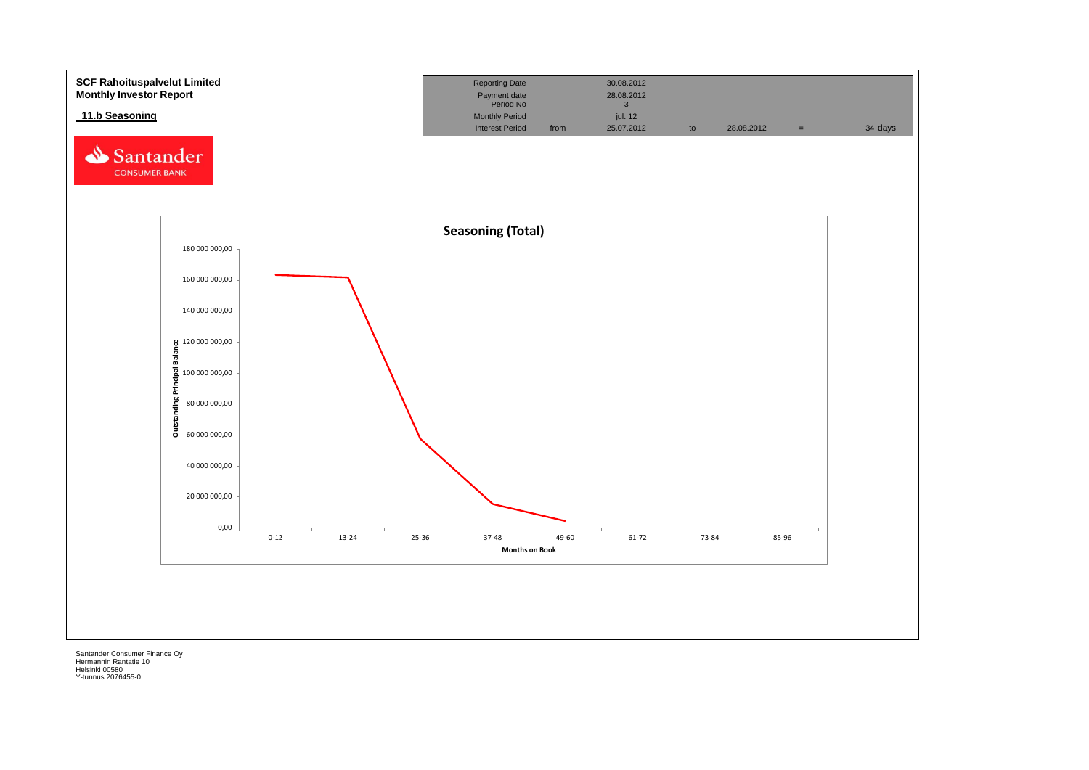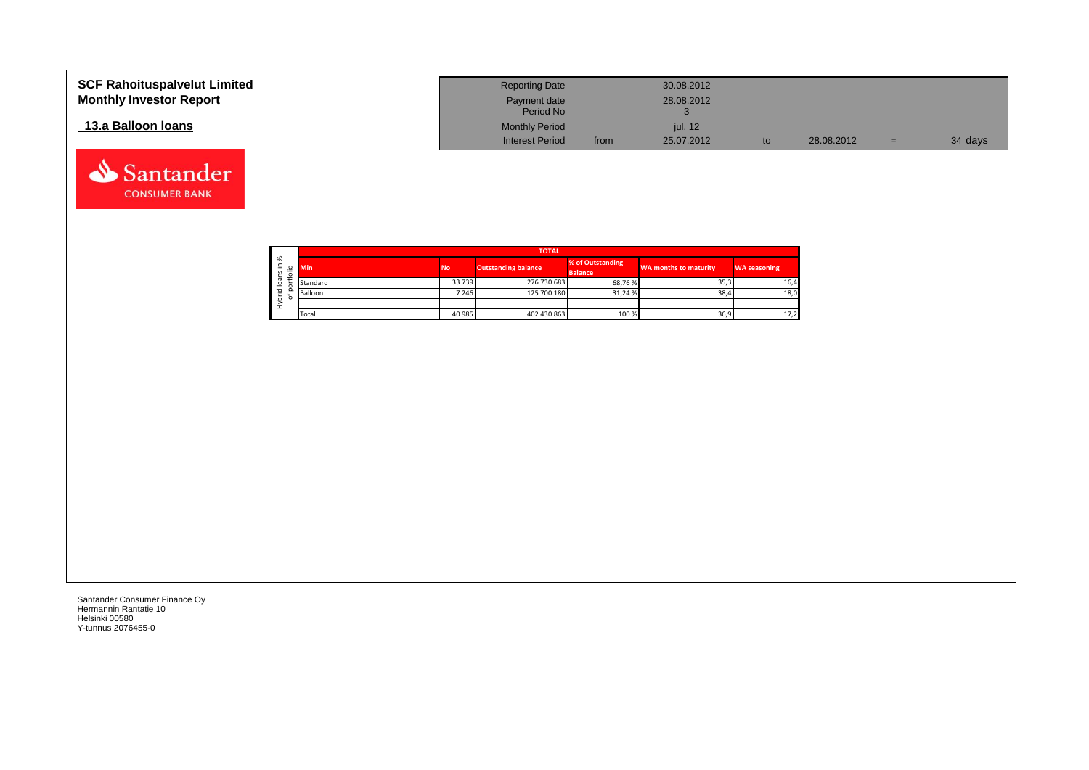| <b>SCF Rahoituspalvelut Limited</b><br><b>Monthly Investor Report</b> | <b>Reporting Date</b><br>Payment date<br>Period No |      | 30.08.2012<br>28.08.2012 |            |     |         |
|-----------------------------------------------------------------------|----------------------------------------------------|------|--------------------------|------------|-----|---------|
| 13.a Balloon Ioans                                                    | <b>Monthly Period</b>                              |      | jul. 12                  |            |     |         |
|                                                                       | <b>Interest Period</b>                             | from | 25.07.2012               | 28.08.2012 | $=$ | 34 days |

┑

÷,

|                               |            |           | <b>TOTAL</b>               |                                    |                              |                     |
|-------------------------------|------------|-----------|----------------------------|------------------------------------|------------------------------|---------------------|
| ৯ৎ<br>≞.<br>$\circ$<br>⊻<br>∽ | <b>Min</b> | <b>No</b> | <b>Outstanding balance</b> | % of Outstanding<br><b>Balance</b> | <b>WA months to maturity</b> | <b>WA seasoning</b> |
| œ<br>⊴                        | Standard   | 33739     | 276 730 683                | 68,76 %                            | 35,3                         | 16,4                |
| 흐<br>∼                        | Balloon    | 7 2 4 6   | 125 700 180                | 31,24 %                            | 38,4                         | 18,0                |
| ء<br>Ξ                        |            |           |                            |                                    |                              |                     |
|                               | Total      | 40 985    | 402 430 863                | 100 %                              | 36,9                         | 17,2                |

Santander Consumer Finance Oy Hermannin Rantatie 10 Helsinki 00580 Y-tunnus 2076455-0

Santander **CONSUMER BANK**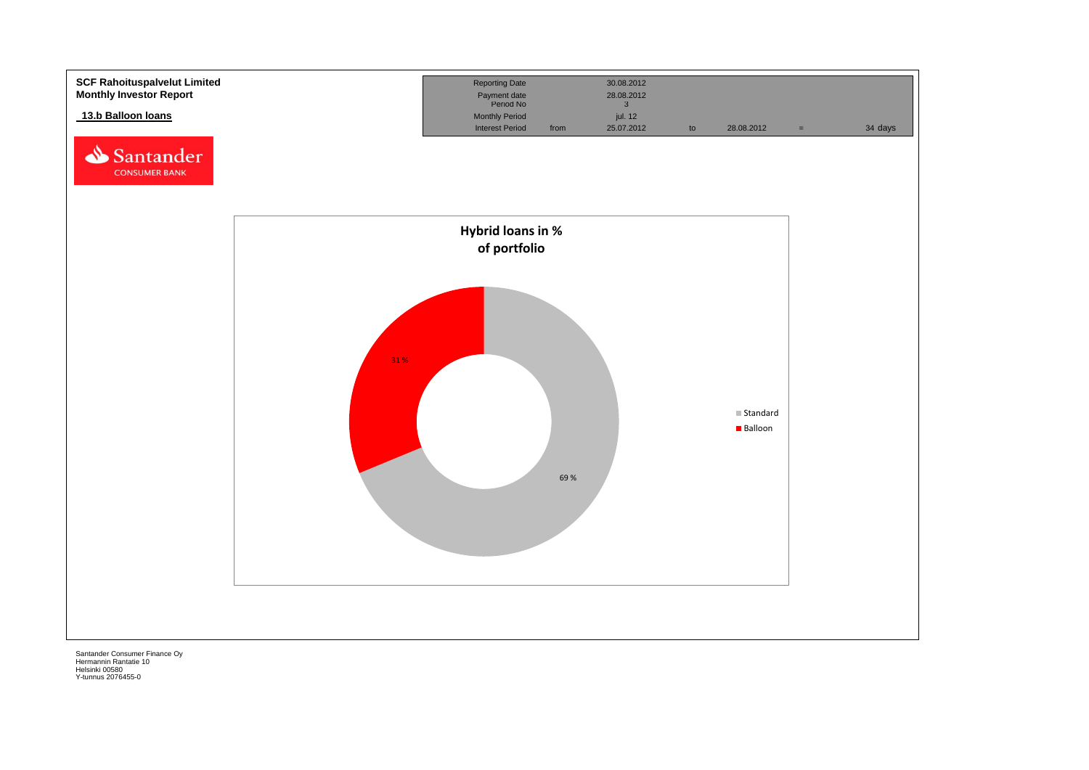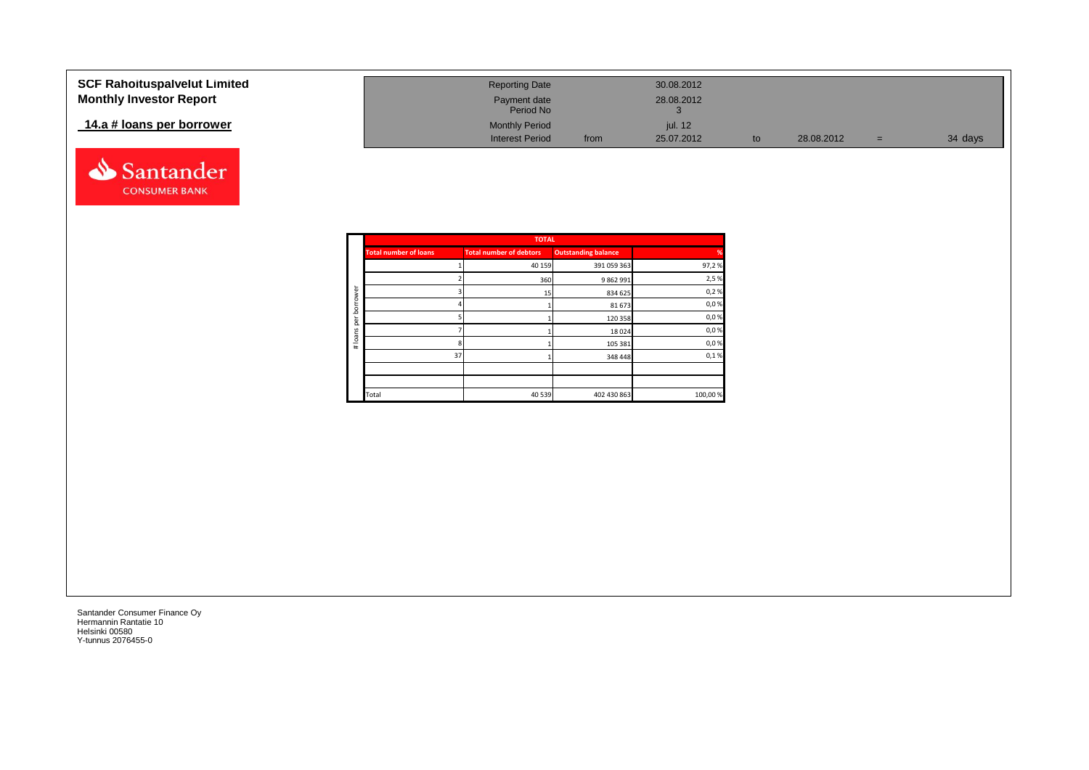| <b>SCF Rahoituspalvelut Limited</b> | <b>Reporting Date</b>     |      | 30.08.2012 |            |     |         |
|-------------------------------------|---------------------------|------|------------|------------|-----|---------|
| <b>Monthly Investor Report</b>      | Payment date<br>Period No |      | 28.08.2012 |            |     |         |
| 14.a # loans per borrower           | <b>Monthly Period</b>     |      | iul. 12    |            |     |         |
|                                     | <b>Interest Period</b>    | from | 25.07.2012 | 28.08.2012 | $=$ | 34 days |



|          |                              | <b>TOTAL</b>                   |                            |         |
|----------|------------------------------|--------------------------------|----------------------------|---------|
|          | <b>Total number of loans</b> | <b>Total number of debtors</b> | <b>Outstanding balance</b> | %       |
|          |                              | 40 159                         | 391 059 363                | 97,2%   |
|          |                              | 360                            | 9 862 991                  | 2,5 %   |
| ৯<br>row |                              | 15                             | 834 625                    | 0,2%    |
| bor      |                              |                                | 81 673                     | 0,0%    |
| per      |                              |                                | 120 358                    | 0,0%    |
| loans    |                              |                                | 18 0 24                    | 0,0%    |
| $\#$     | 8                            |                                | 105 381                    | 0,0%    |
|          | 37                           |                                | 348 448                    | 0,1%    |
|          |                              |                                |                            |         |
|          |                              |                                |                            |         |
|          | Total                        | 40 539                         | 402 430 863                | 100,00% |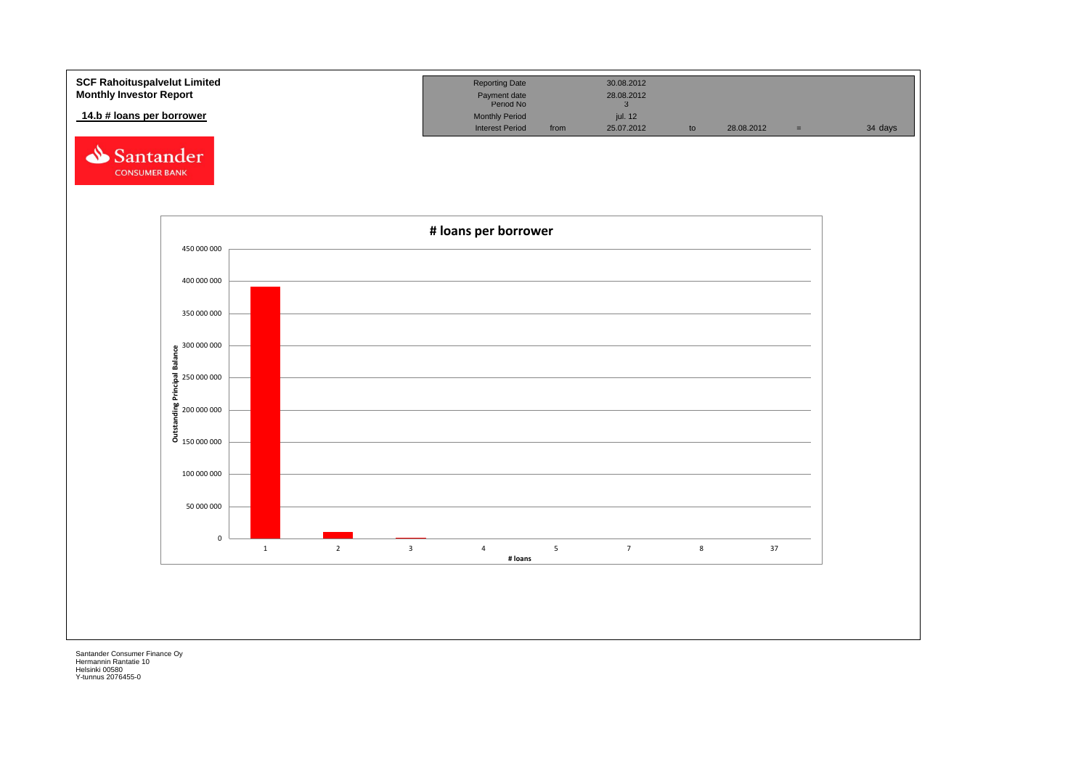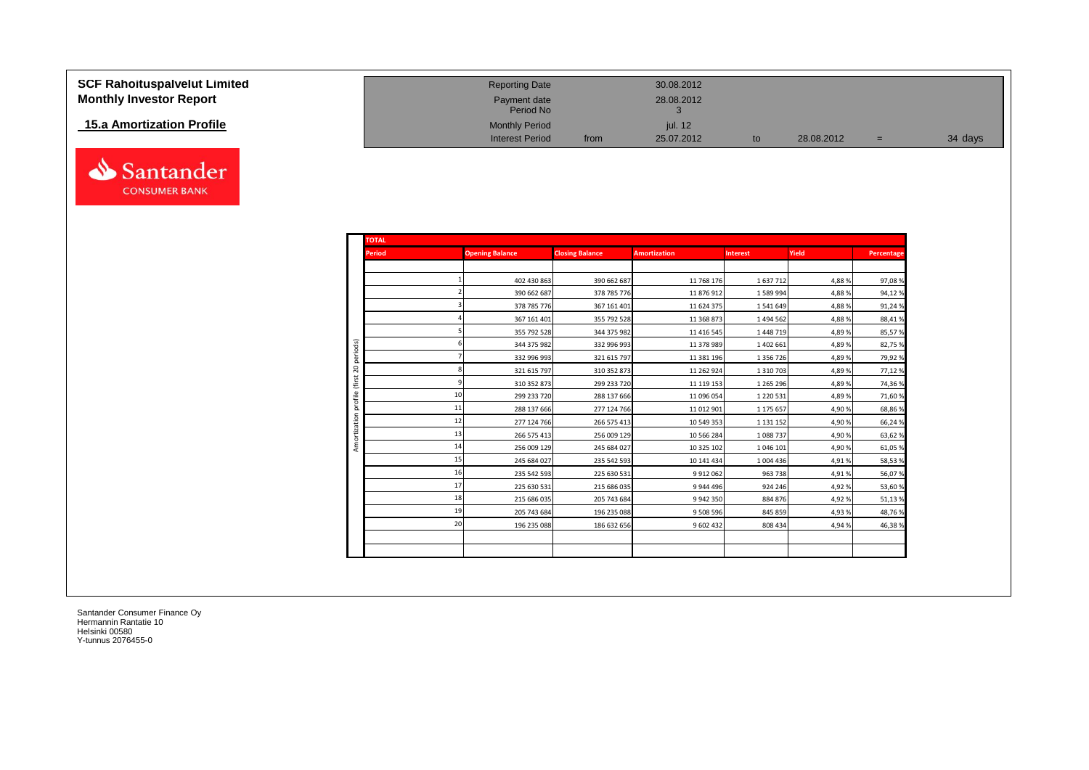| <b>SCF Rahoituspalvelut Limited</b> | <b>Reporting Date</b>     |      | 30.08.2012 |            |     |         |
|-------------------------------------|---------------------------|------|------------|------------|-----|---------|
| <b>Monthly Investor Report</b>      | Payment date<br>Period No |      | 28.08.2012 |            |     |         |
| 15.a Amortization Profile           | <b>Monthly Period</b>     |      | jul. 12    |            |     |         |
|                                     | <b>Interest Period</b>    | from | 25.07.2012 | 28.08.2012 | $=$ | 34 days |



Santander **CONSUMER BANK**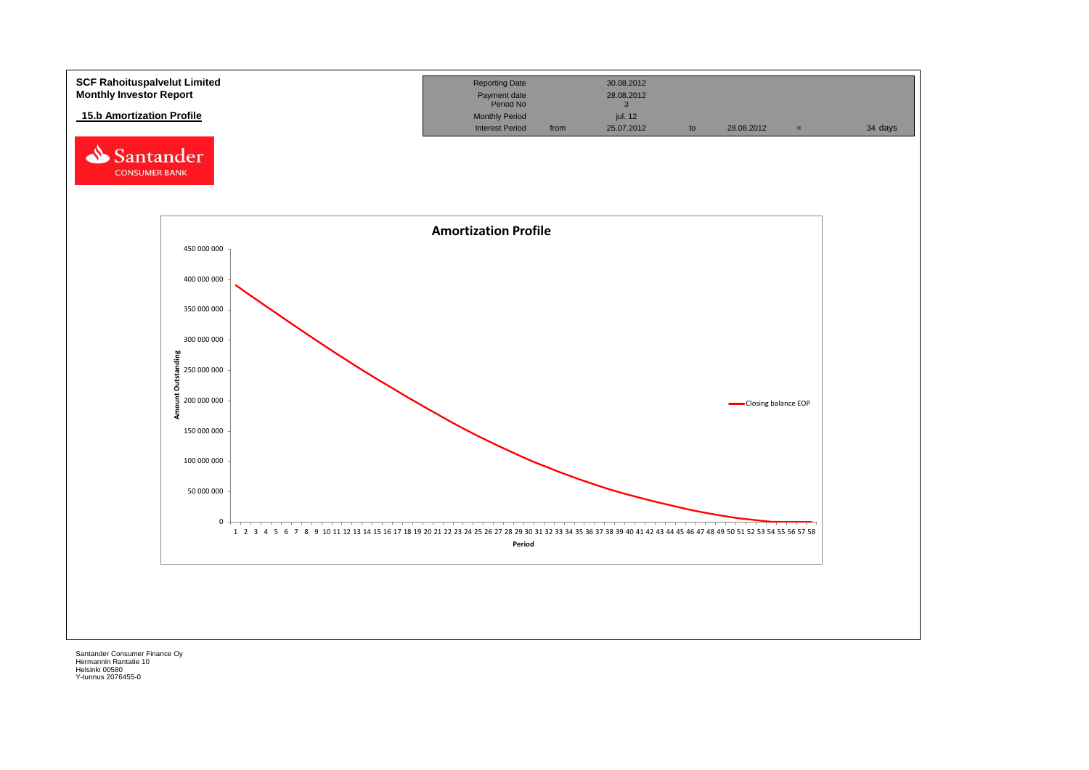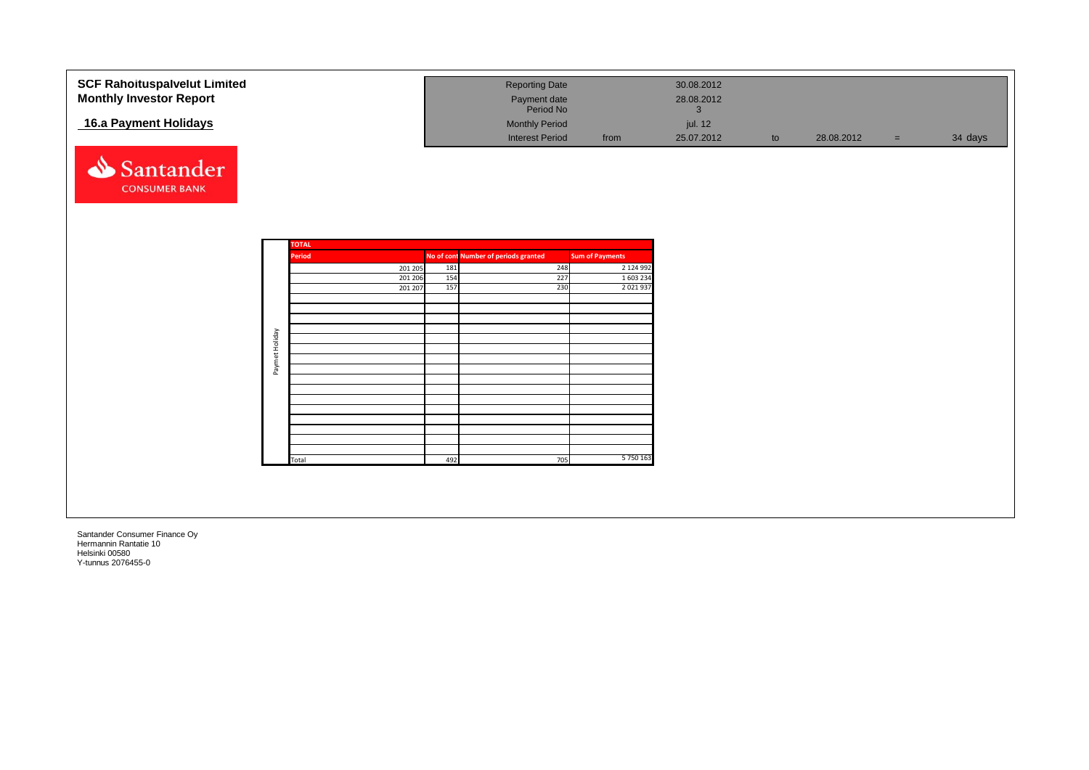| <b>SCF Rahoituspalvelut Limited</b><br><b>Monthly Investor Report</b><br>16.a Payment Holidays |                |                               |         |     | <b>Reporting Date</b><br>Payment date<br>Period No<br><b>Monthly Period</b><br><b>Interest Period</b> |     | from                   | 30.08.2012<br>28.08.2012<br>$\mathbf{3}$<br>jul. 12<br>25.07.2012 | to | 28.08.2012 | $=$ | 34 days |
|------------------------------------------------------------------------------------------------|----------------|-------------------------------|---------|-----|-------------------------------------------------------------------------------------------------------|-----|------------------------|-------------------------------------------------------------------|----|------------|-----|---------|
| Santander<br><b>CONSUMER BANK</b>                                                              |                |                               |         |     |                                                                                                       |     |                        |                                                                   |    |            |     |         |
|                                                                                                |                | <b>TOTAL</b><br><b>Period</b> |         |     | No of cont Number of periods granted                                                                  |     | <b>Sum of Payments</b> |                                                                   |    |            |     |         |
|                                                                                                |                |                               | 201 205 | 181 |                                                                                                       | 248 | 2 124 992              |                                                                   |    |            |     |         |
|                                                                                                |                |                               | 201 206 | 154 |                                                                                                       | 227 | 1 603 234              |                                                                   |    |            |     |         |
|                                                                                                |                |                               | 201 207 | 157 |                                                                                                       | 230 | 2 0 2 1 9 3 7          |                                                                   |    |            |     |         |
|                                                                                                |                |                               |         |     |                                                                                                       |     |                        |                                                                   |    |            |     |         |
|                                                                                                |                |                               |         |     |                                                                                                       |     |                        |                                                                   |    |            |     |         |
|                                                                                                |                |                               |         |     |                                                                                                       |     |                        |                                                                   |    |            |     |         |
|                                                                                                |                |                               |         |     |                                                                                                       |     |                        |                                                                   |    |            |     |         |
|                                                                                                |                |                               |         |     |                                                                                                       |     |                        |                                                                   |    |            |     |         |
|                                                                                                | Paymet Holiday |                               |         |     |                                                                                                       |     |                        |                                                                   |    |            |     |         |
|                                                                                                |                |                               |         |     |                                                                                                       |     |                        |                                                                   |    |            |     |         |
|                                                                                                |                |                               |         |     |                                                                                                       |     |                        |                                                                   |    |            |     |         |
|                                                                                                |                |                               |         |     |                                                                                                       |     |                        |                                                                   |    |            |     |         |
|                                                                                                |                |                               |         |     |                                                                                                       |     |                        |                                                                   |    |            |     |         |
|                                                                                                |                |                               |         |     |                                                                                                       |     |                        |                                                                   |    |            |     |         |
|                                                                                                |                |                               |         |     |                                                                                                       |     |                        |                                                                   |    |            |     |         |
|                                                                                                |                | Total                         |         | 492 |                                                                                                       | 705 | 5 750 163              |                                                                   |    |            |     |         |
|                                                                                                |                |                               |         |     |                                                                                                       |     |                        |                                                                   |    |            |     |         |
|                                                                                                |                |                               |         |     |                                                                                                       |     |                        |                                                                   |    |            |     |         |
|                                                                                                |                |                               |         |     |                                                                                                       |     |                        |                                                                   |    |            |     |         |
|                                                                                                |                |                               |         |     |                                                                                                       |     |                        |                                                                   |    |            |     |         |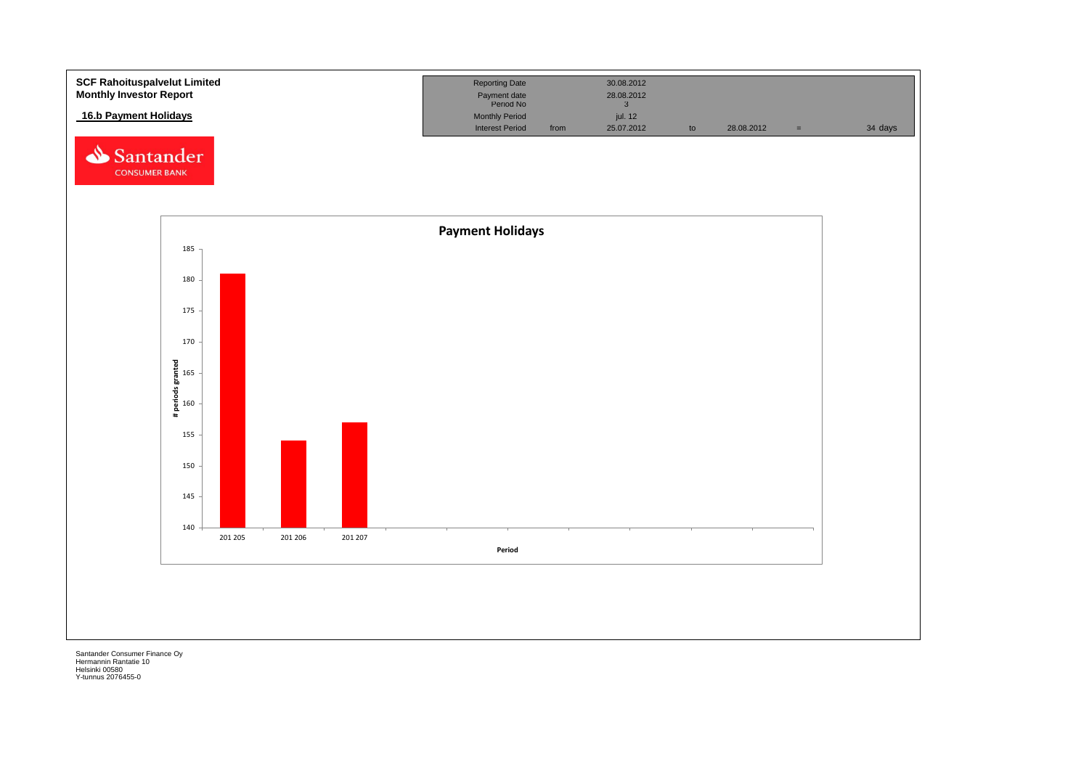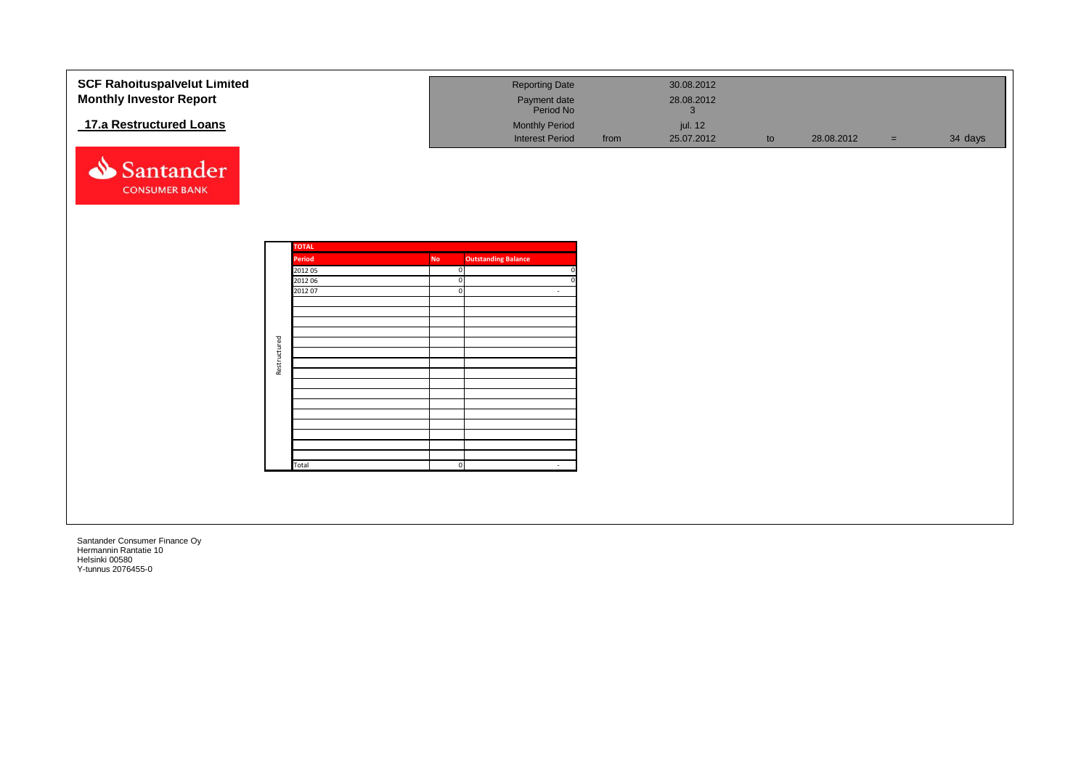| <b>SCF Rahoituspalvelut Limited</b><br><b>Monthly Investor Report</b><br>17.a Restructured Loans |              |                                                                  |                                                                    | <b>Reporting Date</b><br>Payment date<br>Period No<br><b>Monthly Period</b> |      | 30.08.2012<br>28.08.2012<br>$\mathbf{3}$<br>jul. 12 |    |            |          |         |
|--------------------------------------------------------------------------------------------------|--------------|------------------------------------------------------------------|--------------------------------------------------------------------|-----------------------------------------------------------------------------|------|-----------------------------------------------------|----|------------|----------|---------|
| Santander<br><b>CONSUMER BANK</b>                                                                |              |                                                                  |                                                                    | <b>Interest Period</b>                                                      | from | 25.07.2012                                          | to | 28.08.2012 | $=$ $\,$ | 34 days |
|                                                                                                  | Restructured | <b>TOTAL</b><br>Period<br>2012 05<br>2012 06<br>2012 07<br>Total | <b>No</b><br>$\mathbf 0$<br>$\mathbf 0$<br>$\mathbf 0$<br>$\Omega$ | <b>Outstanding Balance</b><br>$\overline{\phantom{a}}$<br>$\sim$            |      |                                                     |    |            |          |         |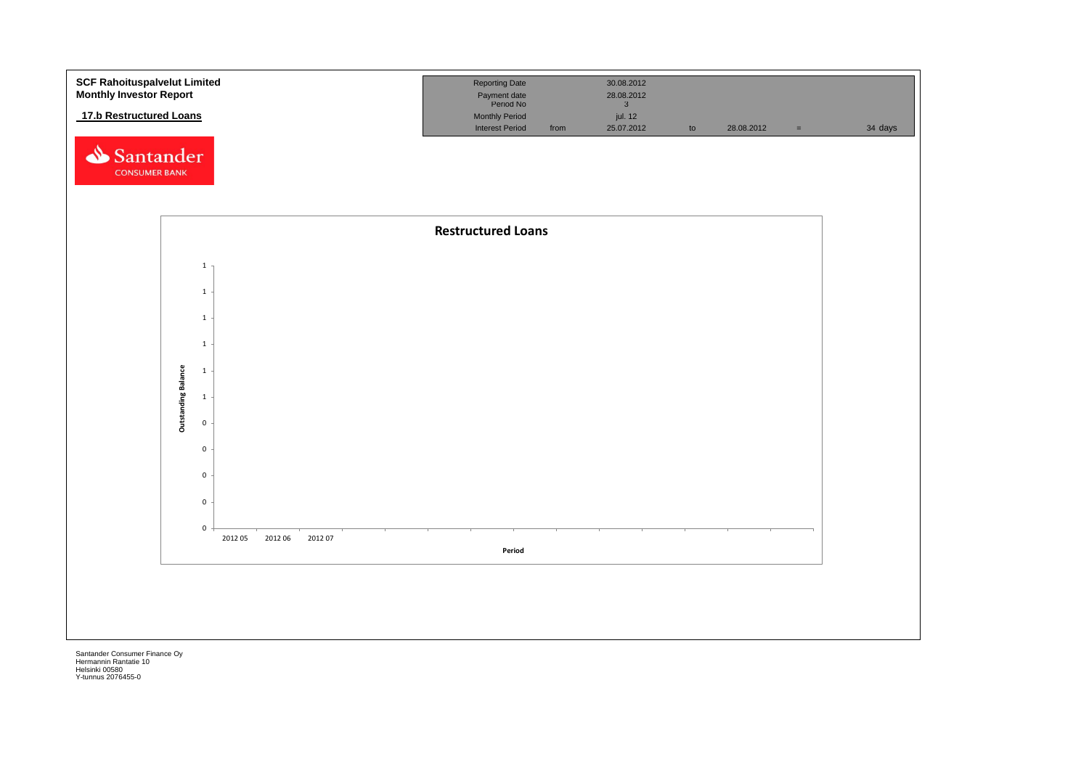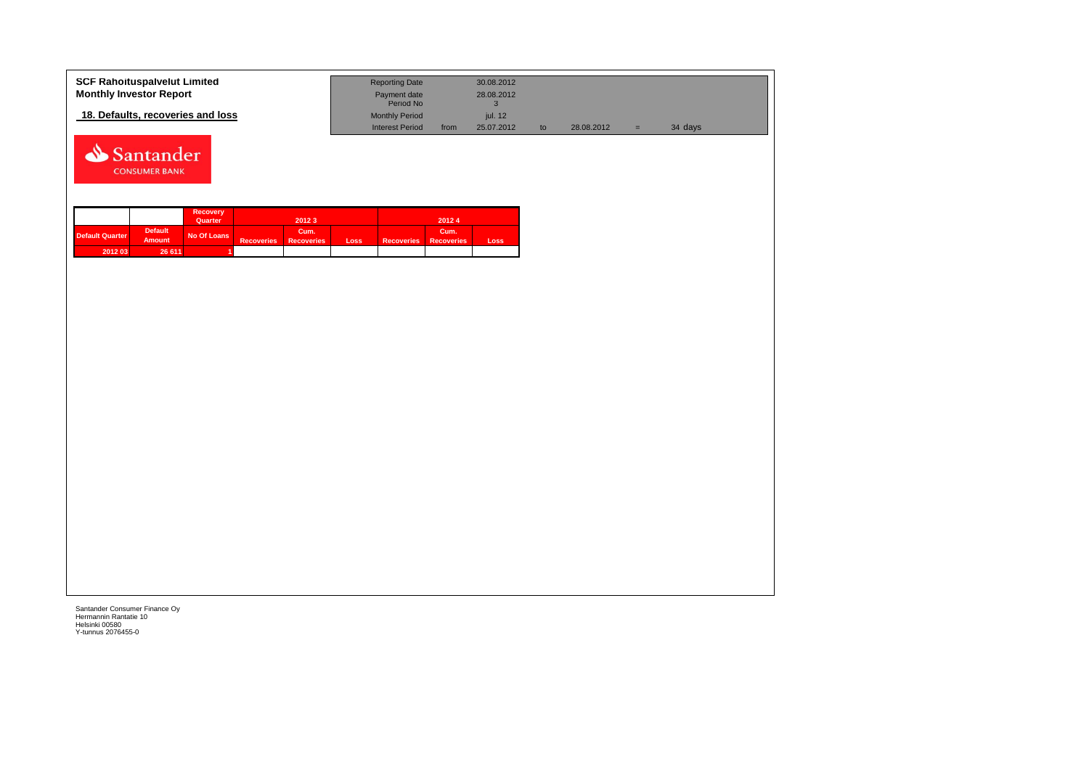| <b>SCF Rahoituspalvelut Limited</b> | <b>Reporting Date</b>     |      | 30.08.2012 |            |    |         |
|-------------------------------------|---------------------------|------|------------|------------|----|---------|
| <b>Monthly Investor Report</b>      | Payment date<br>Period No |      | 28.08.2012 |            |    |         |
| 18. Defaults, recoveries and loss   | <b>Monthly Period</b>     |      | iul. 12    |            |    |         |
|                                     | <b>Interest Period</b>    | from | 25.07.2012 | 28.08.2012 | ÷. | 34 days |



|                 |                                 | <b>Recovery</b><br>Quarter |                   | 20123                     |      |                   | 20124              |       |
|-----------------|---------------------------------|----------------------------|-------------------|---------------------------|------|-------------------|--------------------|-------|
| Default Quarter | <b>Default</b><br><b>Amount</b> | No Of Loans                | <b>Recoveries</b> | Cum.<br><b>Recoveries</b> | Loss | <b>Recoveries</b> | Cum.<br>Recoveries | Loss. |
| 2012 03         | 26 611                          |                            |                   |                           |      |                   |                    |       |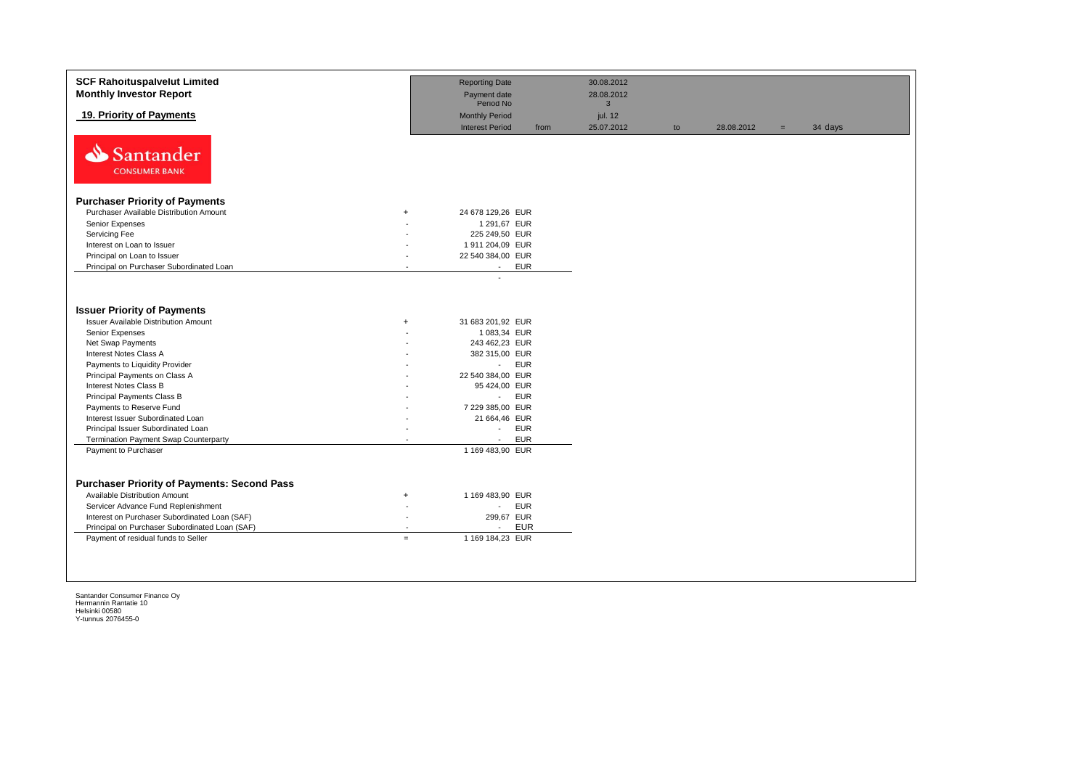| <b>SCF Rahoituspalvelut Limited</b><br><b>Monthly Investor Report</b> |                          | <b>Reporting Date</b><br>Payment date                   | 30.08.2012<br>28.08.2012 |    |            |     |         |
|-----------------------------------------------------------------------|--------------------------|---------------------------------------------------------|--------------------------|----|------------|-----|---------|
|                                                                       |                          | Period No                                               | $\mathbf{3}$             |    |            |     |         |
| 19. Priority of Payments                                              |                          | <b>Monthly Period</b><br><b>Interest Period</b><br>from | jul. 12<br>25.07.2012    | to | 28.08.2012 | $=$ | 34 days |
| Santander<br><b>CONSUMER BANK</b>                                     |                          |                                                         |                          |    |            |     |         |
| <b>Purchaser Priority of Payments</b>                                 |                          |                                                         |                          |    |            |     |         |
| Purchaser Available Distribution Amount                               | $+$                      | 24 678 129,26 EUR                                       |                          |    |            |     |         |
| Senior Expenses                                                       |                          | 1 291,67 EUR                                            |                          |    |            |     |         |
| Servicing Fee                                                         |                          | 225 249,50 EUR                                          |                          |    |            |     |         |
| Interest on Loan to Issuer                                            |                          | 1911 204,09 EUR                                         |                          |    |            |     |         |
| Principal on Loan to Issuer                                           | $\overline{\phantom{a}}$ | 22 540 384,00 EUR                                       |                          |    |            |     |         |
| Principal on Purchaser Subordinated Loan                              |                          | <b>EUR</b><br>$\sim$                                    |                          |    |            |     |         |
| <b>Issuer Priority of Payments</b>                                    |                          |                                                         |                          |    |            |     |         |
| <b>Issuer Available Distribution Amount</b>                           | $\ddot{}$                | 31 683 201,92 EUR                                       |                          |    |            |     |         |
| Senior Expenses                                                       |                          | 1 083,34 EUR                                            |                          |    |            |     |         |
| Net Swap Payments                                                     |                          | 243 462,23 EUR                                          |                          |    |            |     |         |
| <b>Interest Notes Class A</b>                                         |                          | 382 315,00 EUR                                          |                          |    |            |     |         |
| Payments to Liquidity Provider                                        |                          | $\mathcal{L}^{\text{max}}$<br><b>EUR</b>                |                          |    |            |     |         |
| Principal Payments on Class A                                         |                          | 22 540 384,00 EUR                                       |                          |    |            |     |         |
| Interest Notes Class B                                                |                          | 95 424,00 EUR                                           |                          |    |            |     |         |
| Principal Payments Class B                                            |                          | <b>EUR</b><br>$\omega_{\rm{max}}$                       |                          |    |            |     |         |
| Payments to Reserve Fund                                              |                          | 7 229 385,00 EUR                                        |                          |    |            |     |         |
| Interest Issuer Subordinated Loan                                     |                          | 21 664,46 EUR                                           |                          |    |            |     |         |
| Principal Issuer Subordinated Loan                                    |                          | <b>EUR</b><br>$\sim$                                    |                          |    |            |     |         |
| Termination Payment Swap Counterparty                                 |                          | <b>EUR</b><br>$\blacksquare$                            |                          |    |            |     |         |
| Payment to Purchaser                                                  |                          | 1 169 483,90 EUR                                        |                          |    |            |     |         |
|                                                                       |                          |                                                         |                          |    |            |     |         |
| <b>Purchaser Priority of Payments: Second Pass</b>                    |                          |                                                         |                          |    |            |     |         |
| <b>Available Distribution Amount</b>                                  | $+$                      | 1 169 483,90 EUR                                        |                          |    |            |     |         |
| Servicer Advance Fund Replenishment                                   |                          | <b>EUR</b><br>$\overline{\phantom{a}}$                  |                          |    |            |     |         |
| Interest on Purchaser Subordinated Loan (SAF)                         | $\overline{\phantom{a}}$ | 299,67 EUR                                              |                          |    |            |     |         |
| Principal on Purchaser Subordinated Loan (SAF)                        |                          | <b>EUR</b><br>$\blacksquare$                            |                          |    |            |     |         |
| Payment of residual funds to Seller                                   | $\equiv$                 | 1 169 184,23 EUR                                        |                          |    |            |     |         |
|                                                                       |                          |                                                         |                          |    |            |     |         |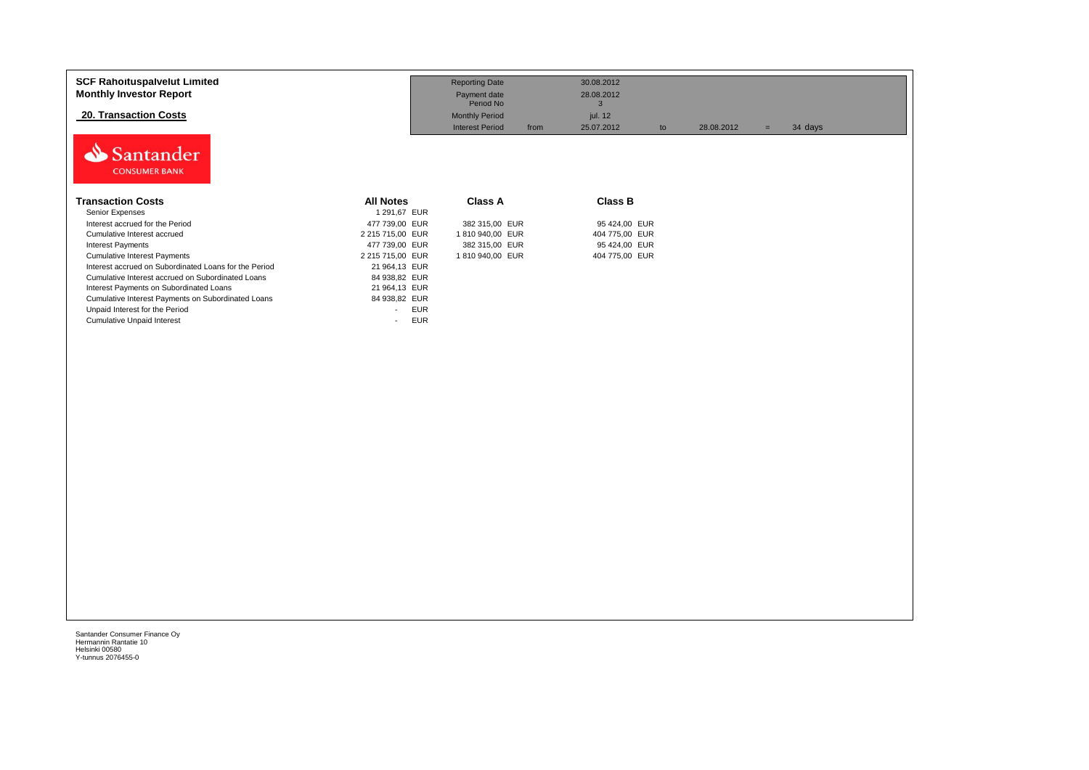| <b>SCF Rahoituspalvelut Limited</b><br><b>Monthly Investor Report</b><br><b>20. Transaction Costs</b> |                      | <b>Reporting Date</b><br>Payment date<br>Period No<br><b>Monthly Period</b><br><b>Interest Period</b> | 30.08.2012<br>28.08.2012<br>3<br>jul. 12<br>25.07.2012<br>from | to | 28.08.2012 | $=$ | 34 days |
|-------------------------------------------------------------------------------------------------------|----------------------|-------------------------------------------------------------------------------------------------------|----------------------------------------------------------------|----|------------|-----|---------|
| Santander<br><b>CONSUMER BANK</b>                                                                     |                      |                                                                                                       |                                                                |    |            |     |         |
| <b>Transaction Costs</b>                                                                              | <b>All Notes</b>     | <b>Class A</b>                                                                                        | <b>Class B</b>                                                 |    |            |     |         |
| Senior Expenses                                                                                       | 1 291,67 EUR         |                                                                                                       |                                                                |    |            |     |         |
| Interest accrued for the Period                                                                       | 477 739,00 EUR       | 382 315,00 EUR                                                                                        | 95 424,00 EUR                                                  |    |            |     |         |
| Cumulative Interest accrued                                                                           | 2 215 715.00 EUR     | 1810940,00 EUR                                                                                        | 404 775,00 EUR                                                 |    |            |     |         |
| <b>Interest Payments</b>                                                                              | 477 739,00 EUR       | 382 315,00 EUR                                                                                        | 95 424,00 EUR                                                  |    |            |     |         |
| <b>Cumulative Interest Payments</b>                                                                   | 2 215 715,00 EUR     | 1810940,00 EUR                                                                                        | 404 775,00 EUR                                                 |    |            |     |         |
| Interest accrued on Subordinated Loans for the Period                                                 | 21 964,13 EUR        |                                                                                                       |                                                                |    |            |     |         |
| Cumulative Interest accrued on Subordinated Loans                                                     | 84 938,82 EUR        |                                                                                                       |                                                                |    |            |     |         |
| Interest Payments on Subordinated Loans                                                               | 21 964,13 EUR        |                                                                                                       |                                                                |    |            |     |         |
| Cumulative Interest Payments on Subordinated Loans                                                    | 84 938,82 EUR        |                                                                                                       |                                                                |    |            |     |         |
| Unpaid Interest for the Period                                                                        | <b>EUR</b><br>$\sim$ |                                                                                                       |                                                                |    |            |     |         |
| <b>Cumulative Unpaid Interest</b>                                                                     | <b>EUR</b>           |                                                                                                       |                                                                |    |            |     |         |
|                                                                                                       |                      |                                                                                                       |                                                                |    |            |     |         |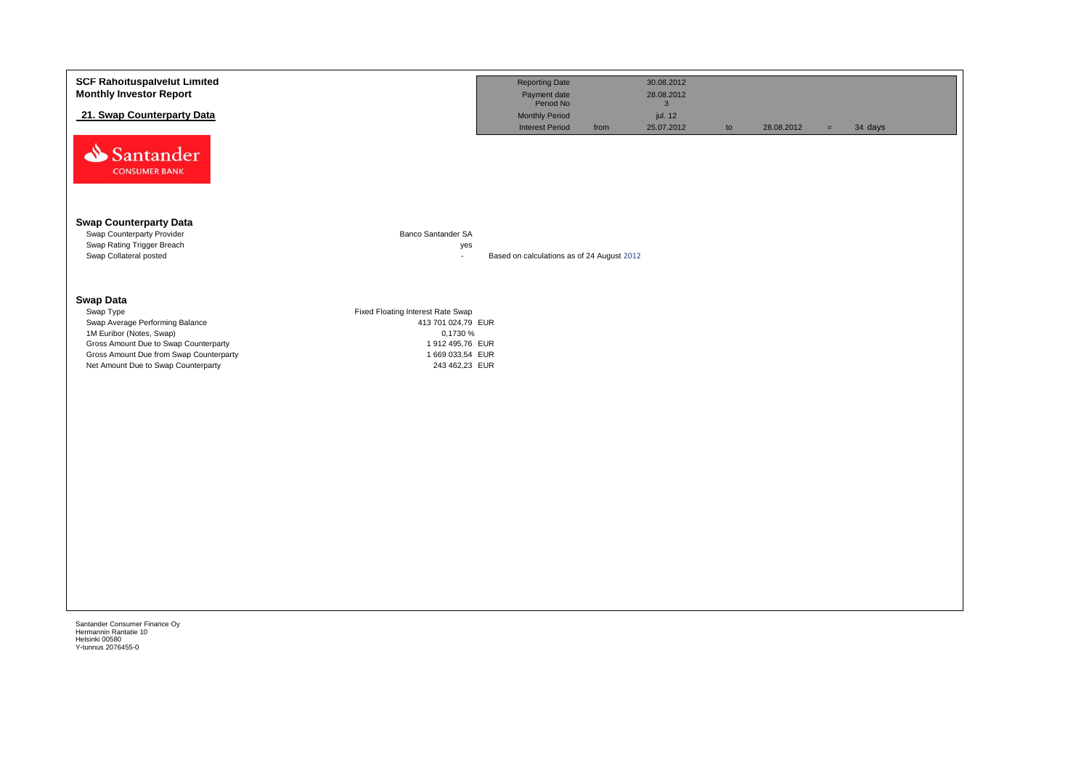| <b>Monthly Investor Report</b>                                                   |                                                         |                                            | <b>Reporting Date</b><br>Payment date<br>Period No |      | 30.08.2012<br>28.08.2012              |    |            |     |         |  |
|----------------------------------------------------------------------------------|---------------------------------------------------------|--------------------------------------------|----------------------------------------------------|------|---------------------------------------|----|------------|-----|---------|--|
| 21. Swap Counterparty Data                                                       |                                                         |                                            | <b>Monthly Period</b><br><b>Interest Period</b>    | from | $\mathbf{3}$<br>jul. 12<br>25.07.2012 | to | 28.08.2012 | $=$ | 34 days |  |
| Santander<br><b>CONSUMER BANK</b>                                                |                                                         |                                            |                                                    |      |                                       |    |            |     |         |  |
| <b>Swap Counterparty Data</b>                                                    |                                                         |                                            |                                                    |      |                                       |    |            |     |         |  |
| Swap Counterparty Provider<br>Swap Rating Trigger Breach                         | Banco Santander SA<br>yes                               |                                            |                                                    |      |                                       |    |            |     |         |  |
| Swap Collateral posted                                                           | $\sim$                                                  | Based on calculations as of 24 August 2012 |                                                    |      |                                       |    |            |     |         |  |
| <b>Swap Data</b>                                                                 |                                                         |                                            |                                                    |      |                                       |    |            |     |         |  |
| Swap Type<br>Swap Average Performing Balance                                     | Fixed Floating Interest Rate Swap<br>413 701 024,79 EUR |                                            |                                                    |      |                                       |    |            |     |         |  |
| 1M Euribor (Notes, Swap)                                                         | 0,1730 %                                                |                                            |                                                    |      |                                       |    |            |     |         |  |
| Gross Amount Due to Swap Counterparty<br>Gross Amount Due from Swap Counterparty | 1 912 495,76 EUR<br>1 669 033,54 EUR                    |                                            |                                                    |      |                                       |    |            |     |         |  |
| Net Amount Due to Swap Counterparty                                              | 243 462,23 EUR                                          |                                            |                                                    |      |                                       |    |            |     |         |  |
|                                                                                  |                                                         |                                            |                                                    |      |                                       |    |            |     |         |  |
|                                                                                  |                                                         |                                            |                                                    |      |                                       |    |            |     |         |  |
|                                                                                  |                                                         |                                            |                                                    |      |                                       |    |            |     |         |  |
|                                                                                  |                                                         |                                            |                                                    |      |                                       |    |            |     |         |  |
|                                                                                  |                                                         |                                            |                                                    |      |                                       |    |            |     |         |  |
|                                                                                  |                                                         |                                            |                                                    |      |                                       |    |            |     |         |  |
|                                                                                  |                                                         |                                            |                                                    |      |                                       |    |            |     |         |  |
|                                                                                  |                                                         |                                            |                                                    |      |                                       |    |            |     |         |  |
|                                                                                  |                                                         |                                            |                                                    |      |                                       |    |            |     |         |  |
|                                                                                  |                                                         |                                            |                                                    |      |                                       |    |            |     |         |  |
|                                                                                  |                                                         |                                            |                                                    |      |                                       |    |            |     |         |  |
| Santander Consumer Finance Oy                                                    |                                                         |                                            |                                                    |      |                                       |    |            |     |         |  |
| Hermannin Rantatie 10<br>Helsinki 00580<br>Y-tunnus 2076455-0                    |                                                         |                                            |                                                    |      |                                       |    |            |     |         |  |